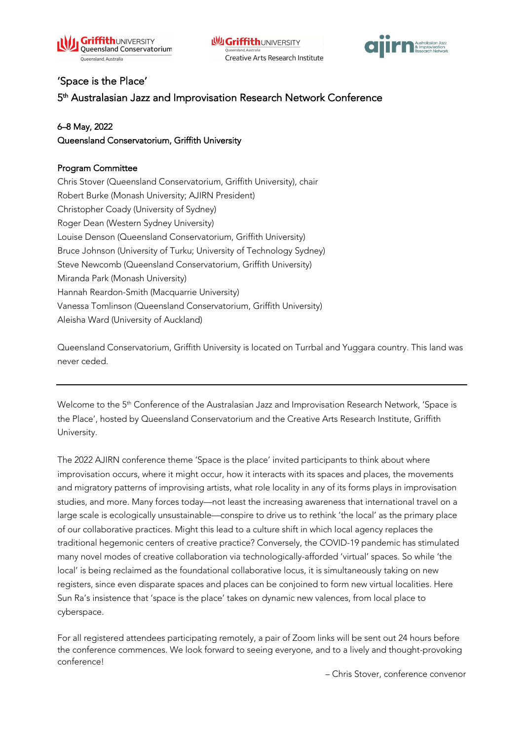



## 'Space is the Place'

5<sup>th</sup> Australasian Jazz and Improvisation Research Network Conference

## 6–8 May, 2022

Queensland Conservatorium, Griffith University

## Program Committee

Chris Stover (Queensland Conservatorium, Griffith University), chair Robert Burke (Monash University; AJIRN President) Christopher Coady (University of Sydney) Roger Dean (Western Sydney University) Louise Denson (Queensland Conservatorium, Griffith University) Bruce Johnson (University of Turku; University of Technology Sydney) Steve Newcomb (Queensland Conservatorium, Griffith University) Miranda Park (Monash University) Hannah Reardon-Smith (Macquarrie University) Vanessa Tomlinson (Queensland Conservatorium, Griffith University) Aleisha Ward (University of Auckland)

Queensland Conservatorium, Griffith University is located on Turrbal and Yuggara country. This land was never ceded.

Welcome to the 5<sup>th</sup> Conference of the Australasian Jazz and Improvisation Research Network, 'Space is the Place', hosted by Queensland Conservatorium and the Creative Arts Research Institute, Griffith University.

The 2022 AJIRN conference theme 'Space is the place' invited participants to think about where improvisation occurs, where it might occur, how it interacts with its spaces and places, the movements and migratory patterns of improvising artists, what role locality in any of its forms plays in improvisation studies, and more. Many forces today—not least the increasing awareness that international travel on a large scale is ecologically unsustainable—conspire to drive us to rethink 'the local' as the primary place of our collaborative practices. Might this lead to a culture shift in which local agency replaces the traditional hegemonic centers of creative practice? Conversely, the COVID-19 pandemic has stimulated many novel modes of creative collaboration via technologically-afforded 'virtual' spaces. So while 'the local' is being reclaimed as the foundational collaborative locus, it is simultaneously taking on new registers, since even disparate spaces and places can be conjoined to form new virtual localities. Here Sun Ra's insistence that 'space is the place' takes on dynamic new valences, from local place to cyberspace.

For all registered attendees participating remotely, a pair of Zoom links will be sent out 24 hours before the conference commences. We look forward to seeing everyone, and to a lively and thought-provoking conference!

– Chris Stover, conference convenor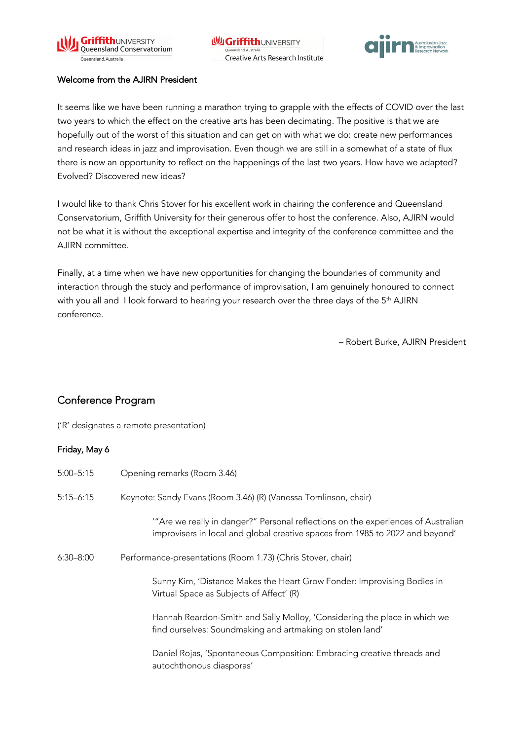



#### Welcome from the AJIRN President

It seems like we have been running a marathon trying to grapple with the effects of COVID over the last two years to which the effect on the creative arts has been decimating. The positive is that we are hopefully out of the worst of this situation and can get on with what we do: create new performances and research ideas in jazz and improvisation. Even though we are still in a somewhat of a state of flux there is now an opportunity to reflect on the happenings of the last two years. How have we adapted? Evolved? Discovered new ideas?

I would like to thank Chris Stover for his excellent work in chairing the conference and Queensland Conservatorium, Griffith University for their generous offer to host the conference. Also, AJIRN would not be what it is without the exceptional expertise and integrity of the conference committee and the AJIRN committee.

Finally, at a time when we have new opportunities for changing the boundaries of community and interaction through the study and performance of improvisation, I am genuinely honoured to connect with you all and I look forward to hearing your research over the three days of the 5<sup>th</sup> AJIRN conference.

– Robert Burke, AJIRN President

# Conference Program

('R' designates a remote presentation)

### Friday, May 6

| $5:00 - 5:15$ | Opening remarks (Room 3.46)                                                                                                                                       |
|---------------|-------------------------------------------------------------------------------------------------------------------------------------------------------------------|
| $5:15 - 6:15$ | Keynote: Sandy Evans (Room 3.46) (R) (Vanessa Tomlinson, chair)                                                                                                   |
|               | "Are we really in danger?" Personal reflections on the experiences of Australian<br>improvisers in local and global creative spaces from 1985 to 2022 and beyond' |
| $6:30 - 8:00$ | Performance-presentations (Room 1.73) (Chris Stover, chair)                                                                                                       |
|               | Sunny Kim, 'Distance Makes the Heart Grow Fonder: Improvising Bodies in<br>Virtual Space as Subjects of Affect' (R)                                               |
|               | Hannah Reardon-Smith and Sally Molloy, 'Considering the place in which we<br>find ourselves: Soundmaking and artmaking on stolen land'                            |
|               | Daniel Rojas, 'Spontaneous Composition: Embracing creative threads and<br>autochthonous diasporas'                                                                |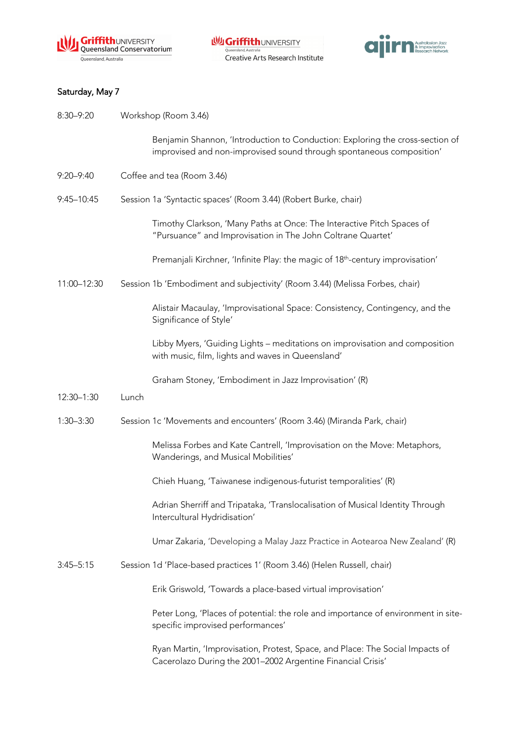



# Saturday, May 7

| 8:30-9:20     | Workshop (Room 3.46)                                                                                                                                  |
|---------------|-------------------------------------------------------------------------------------------------------------------------------------------------------|
|               | Benjamin Shannon, 'Introduction to Conduction: Exploring the cross-section of<br>improvised and non-improvised sound through spontaneous composition' |
| $9:20 - 9:40$ | Coffee and tea (Room 3.46)                                                                                                                            |
| 9:45-10:45    | Session 1a 'Syntactic spaces' (Room 3.44) (Robert Burke, chair)                                                                                       |
|               | Timothy Clarkson, 'Many Paths at Once: The Interactive Pitch Spaces of<br>"Pursuance" and Improvisation in The John Coltrane Quartet'                 |
|               | Premanjali Kirchner, 'Infinite Play: the magic of 18 <sup>th</sup> -century improvisation'                                                            |
| 11:00-12:30   | Session 1b 'Embodiment and subjectivity' (Room 3.44) (Melissa Forbes, chair)                                                                          |
|               | Alistair Macaulay, 'Improvisational Space: Consistency, Contingency, and the<br>Significance of Style'                                                |
|               | Libby Myers, 'Guiding Lights - meditations on improvisation and composition<br>with music, film, lights and waves in Queensland'                      |
|               | Graham Stoney, 'Embodiment in Jazz Improvisation' (R)                                                                                                 |
| 12:30-1:30    | Lunch                                                                                                                                                 |
| $1:30 - 3:30$ | Session 1c 'Movements and encounters' (Room 3.46) (Miranda Park, chair)                                                                               |
|               | Melissa Forbes and Kate Cantrell, 'Improvisation on the Move: Metaphors,<br>Wanderings, and Musical Mobilities'                                       |
|               | Chieh Huang, 'Taiwanese indigenous-futurist temporalities' (R)                                                                                        |
|               | Adrian Sherriff and Tripataka, 'Translocalisation of Musical Identity Through<br>Intercultural Hydridisation'                                         |
|               | Umar Zakaria, 'Developing a Malay Jazz Practice in Aotearoa New Zealand' (R)                                                                          |
| $3:45 - 5:15$ | Session 1d 'Place-based practices 1' (Room 3.46) (Helen Russell, chair)                                                                               |
|               | Erik Griswold, 'Towards a place-based virtual improvisation'                                                                                          |
|               | Peter Long, 'Places of potential: the role and importance of environment in site-<br>specific improvised performances'                                |
|               | Ryan Martin, 'Improvisation, Protest, Space, and Place: The Social Impacts of<br>Cacerolazo During the 2001-2002 Argentine Financial Crisis'          |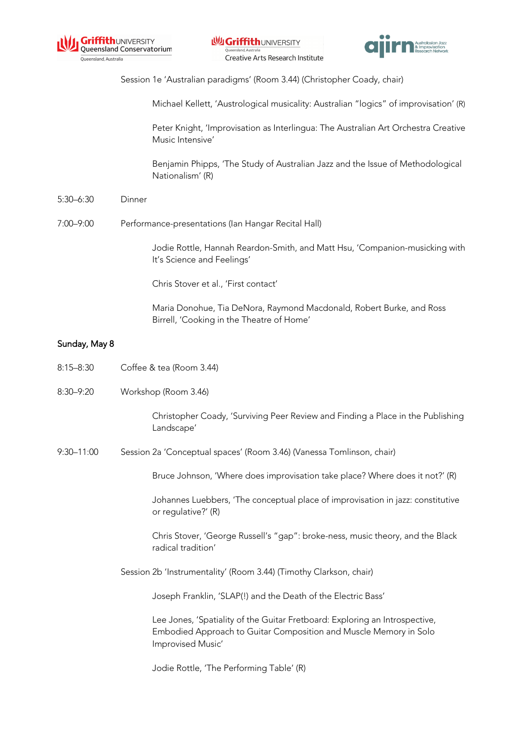



Session 1e 'Australian paradigms' (Room 3.44) (Christopher Coady, chair)

Michael Kellett, 'Austrological musicality: Australian "logics" of improvisation' (R)

Peter Knight, 'Improvisation as Interlingua: The Australian Art Orchestra Creative Music Intensive'

Benjamin Phipps, 'The Study of Australian Jazz and the Issue of Methodological Nationalism' (R)

- 5:30–6:30 Dinner
- 7:00–9:00 Performance-presentations (Ian Hangar Recital Hall)

Jodie Rottle, Hannah Reardon-Smith, and Matt Hsu, 'Companion-musicking with It's Science and Feelings'

Chris Stover et al., 'First contact'

Maria Donohue, Tia DeNora, Raymond Macdonald, Robert Burke, and Ross Birrell, 'Cooking in the Theatre of Home'

#### Sunday, May 8

- 8:15–8:30 Coffee & tea (Room 3.44)
- 8:30–9:20 Workshop (Room 3.46)

Christopher Coady, 'Surviving Peer Review and Finding a Place in the Publishing Landscape'

9:30–11:00 Session 2a 'Conceptual spaces' (Room 3.46) (Vanessa Tomlinson, chair)

Bruce Johnson, 'Where does improvisation take place? Where does it not?' (R)

Johannes Luebbers, 'The conceptual place of improvisation in jazz: constitutive or regulative?' (R)

Chris Stover, 'George Russell's "gap": broke-ness, music theory, and the Black radical tradition'

Session 2b 'Instrumentality' (Room 3.44) (Timothy Clarkson, chair)

Joseph Franklin, 'SLAP(!) and the Death of the Electric Bass'

Lee Jones, 'Spatiality of the Guitar Fretboard: Exploring an Introspective, Embodied Approach to Guitar Composition and Muscle Memory in Solo Improvised Music'

Jodie Rottle, 'The Performing Table' (R)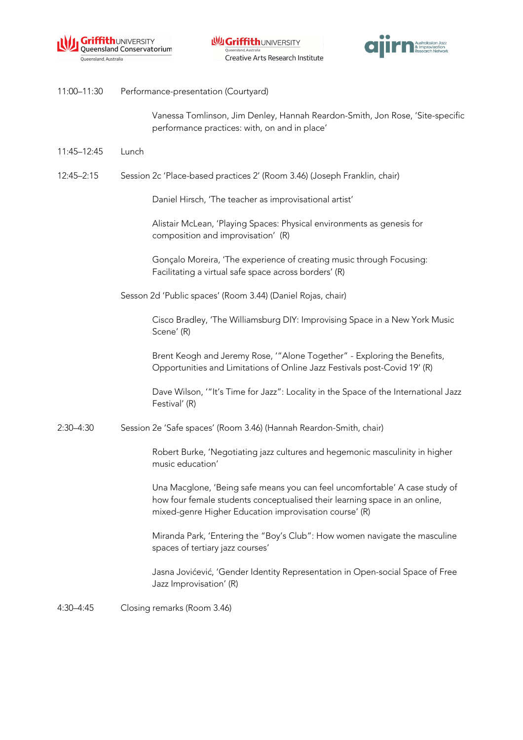



11:00–11:30 Performance-presentation (Courtyard)

Vanessa Tomlinson, Jim Denley, Hannah Reardon-Smith, Jon Rose, 'Site-specific performance practices: with, on and in place'

- 11:45–12:45 Lunch
- 12:45–2:15 Session 2c 'Place-based practices 2' (Room 3.46) (Joseph Franklin, chair)

Daniel Hirsch, 'The teacher as improvisational artist'

Alistair McLean, 'Playing Spaces: Physical environments as genesis for composition and improvisation' (R)

Gonçalo Moreira, 'The experience of creating music through Focusing: Facilitating a virtual safe space across borders' (R)

Sesson 2d 'Public spaces' (Room 3.44) (Daniel Rojas, chair)

Cisco Bradley, 'The Williamsburg DIY: Improvising Space in a New York Music Scene' (R)

Brent Keogh and Jeremy Rose, '"Alone Together" - Exploring the Benefits, Opportunities and Limitations of Online Jazz Festivals post-Covid 19' (R)

Dave Wilson, '"It's Time for Jazz": Locality in the Space of the International Jazz Festival' (R)

2:30–4:30 Session 2e 'Safe spaces' (Room 3.46) (Hannah Reardon-Smith, chair)

Robert Burke, 'Negotiating jazz cultures and hegemonic masculinity in higher music education'

Una Macglone, 'Being safe means you can feel uncomfortable' A case study of how four female students conceptualised their learning space in an online, mixed-genre Higher Education improvisation course' (R)

Miranda Park, 'Entering the "Boy's Club": How women navigate the masculine spaces of tertiary jazz courses'

Jasna Jovićević, 'Gender Identity Representation in Open-social Space of Free Jazz Improvisation' (R)

4:30–4:45 Closing remarks (Room 3.46)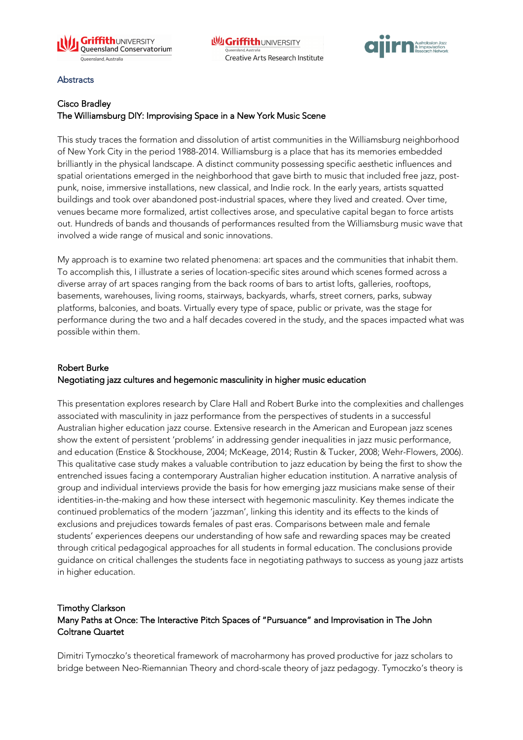



#### **Abstracts**

## Cisco Bradley The Williamsburg DIY: Improvising Space in a New York Music Scene

This study traces the formation and dissolution of artist communities in the Williamsburg neighborhood of New York City in the period 1988-2014. Williamsburg is a place that has its memories embedded brilliantly in the physical landscape. A distinct community possessing specific aesthetic influences and spatial orientations emerged in the neighborhood that gave birth to music that included free jazz, postpunk, noise, immersive installations, new classical, and Indie rock. In the early years, artists squatted buildings and took over abandoned post-industrial spaces, where they lived and created. Over time, venues became more formalized, artist collectives arose, and speculative capital began to force artists out. Hundreds of bands and thousands of performances resulted from the Williamsburg music wave that involved a wide range of musical and sonic innovations.

My approach is to examine two related phenomena: art spaces and the communities that inhabit them. To accomplish this, I illustrate a series of location-specific sites around which scenes formed across a diverse array of art spaces ranging from the back rooms of bars to artist lofts, galleries, rooftops, basements, warehouses, living rooms, stairways, backyards, wharfs, street corners, parks, subway platforms, balconies, and boats. Virtually every type of space, public or private, was the stage for performance during the two and a half decades covered in the study, and the spaces impacted what was possible within them.

# Robert Burke Negotiating jazz cultures and hegemonic masculinity in higher music education

This presentation explores research by Clare Hall and Robert Burke into the complexities and challenges associated with masculinity in jazz performance from the perspectives of students in a successful Australian higher education jazz course. Extensive research in the American and European jazz scenes show the extent of persistent 'problems' in addressing gender inequalities in jazz music performance, and education (Enstice & Stockhouse, 2004; McKeage, 2014; Rustin & Tucker, 2008; Wehr-Flowers, 2006). This qualitative case study makes a valuable contribution to jazz education by being the first to show the entrenched issues facing a contemporary Australian higher education institution. A narrative analysis of group and individual interviews provide the basis for how emerging jazz musicians make sense of their identities-in-the-making and how these intersect with hegemonic masculinity. Key themes indicate the continued problematics of the modern 'jazzman', linking this identity and its effects to the kinds of exclusions and prejudices towards females of past eras. Comparisons between male and female students' experiences deepens our understanding of how safe and rewarding spaces may be created through critical pedagogical approaches for all students in formal education. The conclusions provide guidance on critical challenges the students face in negotiating pathways to success as young jazz artists in higher education.

## Timothy Clarkson Many Paths at Once: The Interactive Pitch Spaces of "Pursuance" and Improvisation in The John Coltrane Quartet

Dimitri Tymoczko's theoretical framework of macroharmony has proved productive for jazz scholars to bridge between Neo-Riemannian Theory and chord-scale theory of jazz pedagogy. Tymoczko's theory is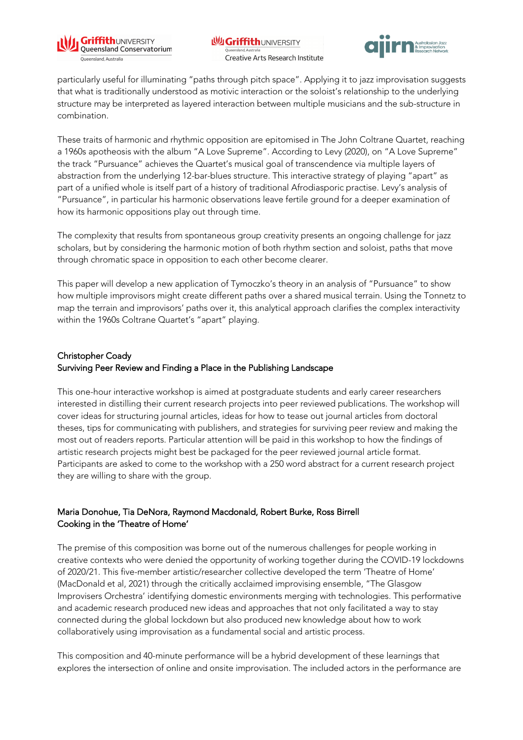



particularly useful for illuminating "paths through pitch space". Applying it to jazz improvisation suggests that what is traditionally understood as motivic interaction or the soloist's relationship to the underlying structure may be interpreted as layered interaction between multiple musicians and the sub-structure in combination.

These traits of harmonic and rhythmic opposition are epitomised in The John Coltrane Quartet, reaching a 1960s apotheosis with the album "A Love Supreme". According to Levy (2020), on "A Love Supreme" the track "Pursuance" achieves the Quartet's musical goal of transcendence via multiple layers of abstraction from the underlying 12-bar-blues structure. This interactive strategy of playing "apart" as part of a unified whole is itself part of a history of traditional Afrodiasporic practise. Levy's analysis of "Pursuance", in particular his harmonic observations leave fertile ground for a deeper examination of how its harmonic oppositions play out through time.

The complexity that results from spontaneous group creativity presents an ongoing challenge for jazz scholars, but by considering the harmonic motion of both rhythm section and soloist, paths that move through chromatic space in opposition to each other become clearer.

This paper will develop a new application of Tymoczko's theory in an analysis of "Pursuance" to show how multiple improvisors might create different paths over a shared musical terrain. Using the Tonnetz to map the terrain and improvisors' paths over it, this analytical approach clarifies the complex interactivity within the 1960s Coltrane Quartet's "apart" playing.

### Christopher Coady Surviving Peer Review and Finding a Place in the Publishing Landscape

This one-hour interactive workshop is aimed at postgraduate students and early career researchers interested in distilling their current research projects into peer reviewed publications. The workshop will cover ideas for structuring journal articles, ideas for how to tease out journal articles from doctoral theses, tips for communicating with publishers, and strategies for surviving peer review and making the most out of readers reports. Particular attention will be paid in this workshop to how the findings of artistic research projects might best be packaged for the peer reviewed journal article format. Participants are asked to come to the workshop with a 250 word abstract for a current research project they are willing to share with the group.

## Maria Donohue, Tia DeNora, Raymond Macdonald, Robert Burke, Ross Birrell Cooking in the 'Theatre of Home'

The premise of this composition was borne out of the numerous challenges for people working in creative contexts who were denied the opportunity of working together during the COVID-19 lockdowns of 2020/21. This five-member artistic/researcher collective developed the term 'Theatre of Home' (MacDonald et al, 2021) through the critically acclaimed improvising ensemble, "The Glasgow Improvisers Orchestra' identifying domestic environments merging with technologies. This performative and academic research produced new ideas and approaches that not only facilitated a way to stay connected during the global lockdown but also produced new knowledge about how to work collaboratively using improvisation as a fundamental social and artistic process.

This composition and 40-minute performance will be a hybrid development of these learnings that explores the intersection of online and onsite improvisation. The included actors in the performance are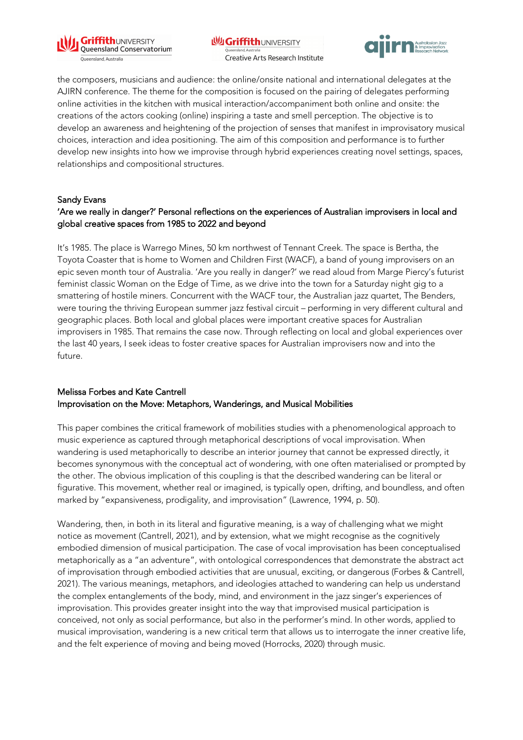

**WGriffithUNIVERSITY** Queensland, Australi Creative Arts Research Institute



the composers, musicians and audience: the online/onsite national and international delegates at the AJIRN conference. The theme for the composition is focused on the pairing of delegates performing online activities in the kitchen with musical interaction/accompaniment both online and onsite: the creations of the actors cooking (online) inspiring a taste and smell perception. The objective is to develop an awareness and heightening of the projection of senses that manifest in improvisatory musical choices, interaction and idea positioning. The aim of this composition and performance is to further develop new insights into how we improvise through hybrid experiences creating novel settings, spaces, relationships and compositional structures.

#### Sandy Evans

## 'Are we really in danger?' Personal reflections on the experiences of Australian improvisers in local and global creative spaces from 1985 to 2022 and beyond

It's 1985. The place is Warrego Mines, 50 km northwest of Tennant Creek. The space is Bertha, the Toyota Coaster that is home to Women and Children First (WACF), a band of young improvisers on an epic seven month tour of Australia. 'Are you really in danger?' we read aloud from Marge Piercy's futurist feminist classic Woman on the Edge of Time, as we drive into the town for a Saturday night gig to a smattering of hostile miners. Concurrent with the WACF tour, the Australian jazz quartet, The Benders, were touring the thriving European summer jazz festival circuit – performing in very different cultural and geographic places. Both local and global places were important creative spaces for Australian improvisers in 1985. That remains the case now. Through reflecting on local and global experiences over the last 40 years, I seek ideas to foster creative spaces for Australian improvisers now and into the future.

### Melissa Forbes and Kate Cantrell Improvisation on the Move: Metaphors, Wanderings, and Musical Mobilities

This paper combines the critical framework of mobilities studies with a phenomenological approach to music experience as captured through metaphorical descriptions of vocal improvisation. When wandering is used metaphorically to describe an interior journey that cannot be expressed directly, it becomes synonymous with the conceptual act of wondering, with one often materialised or prompted by the other. The obvious implication of this coupling is that the described wandering can be literal or figurative. This movement, whether real or imagined, is typically open, drifting, and boundless, and often marked by "expansiveness, prodigality, and improvisation" (Lawrence, 1994, p. 50).

Wandering, then, in both in its literal and figurative meaning, is a way of challenging what we might notice as movement (Cantrell, 2021), and by extension, what we might recognise as the cognitively embodied dimension of musical participation. The case of vocal improvisation has been conceptualised metaphorically as a "an adventure", with ontological correspondences that demonstrate the abstract act of improvisation through embodied activities that are unusual, exciting, or dangerous (Forbes & Cantrell, 2021). The various meanings, metaphors, and ideologies attached to wandering can help us understand the complex entanglements of the body, mind, and environment in the jazz singer's experiences of improvisation. This provides greater insight into the way that improvised musical participation is conceived, not only as social performance, but also in the performer's mind. In other words, applied to musical improvisation, wandering is a new critical term that allows us to interrogate the inner creative life, and the felt experience of moving and being moved (Horrocks, 2020) through music.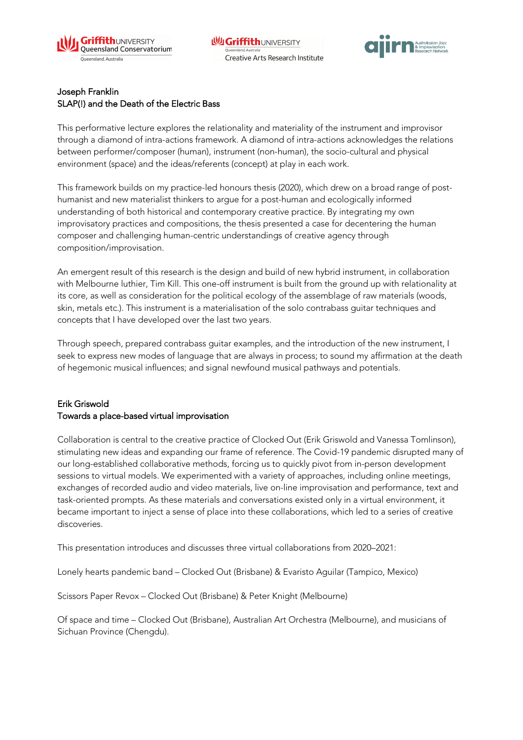



### Joseph Franklin SLAP(!) and the Death of the Electric Bass

This performative lecture explores the relationality and materiality of the instrument and improvisor through a diamond of intra-actions framework. A diamond of intra-actions acknowledges the relations between performer/composer (human), instrument (non-human), the socio-cultural and physical environment (space) and the ideas/referents (concept) at play in each work.

This framework builds on my practice-led honours thesis (2020), which drew on a broad range of posthumanist and new materialist thinkers to argue for a post-human and ecologically informed understanding of both historical and contemporary creative practice. By integrating my own improvisatory practices and compositions, the thesis presented a case for decentering the human composer and challenging human-centric understandings of creative agency through composition/improvisation.

An emergent result of this research is the design and build of new hybrid instrument, in collaboration with Melbourne luthier, Tim Kill. This one-off instrument is built from the ground up with relationality at its core, as well as consideration for the political ecology of the assemblage of raw materials (woods, skin, metals etc.). This instrument is a materialisation of the solo contrabass guitar techniques and concepts that I have developed over the last two years.

Through speech, prepared contrabass guitar examples, and the introduction of the new instrument, I seek to express new modes of language that are always in process; to sound my affirmation at the death of hegemonic musical influences; and signal newfound musical pathways and potentials.

## Erik Griswold Towards a place-based virtual improvisation

Collaboration is central to the creative practice of Clocked Out (Erik Griswold and Vanessa Tomlinson), stimulating new ideas and expanding our frame of reference. The Covid-19 pandemic disrupted many of our long-established collaborative methods, forcing us to quickly pivot from in-person development sessions to virtual models. We experimented with a variety of approaches, including online meetings, exchanges of recorded audio and video materials, live on-line improvisation and performance, text and task-oriented prompts. As these materials and conversations existed only in a virtual environment, it became important to inject a sense of place into these collaborations, which led to a series of creative discoveries.

This presentation introduces and discusses three virtual collaborations from 2020–2021:

Lonely hearts pandemic band – Clocked Out (Brisbane) & Evaristo Aguilar (Tampico, Mexico)

Scissors Paper Revox – Clocked Out (Brisbane) & Peter Knight (Melbourne)

Of space and time – Clocked Out (Brisbane), Australian Art Orchestra (Melbourne), and musicians of Sichuan Province (Chengdu).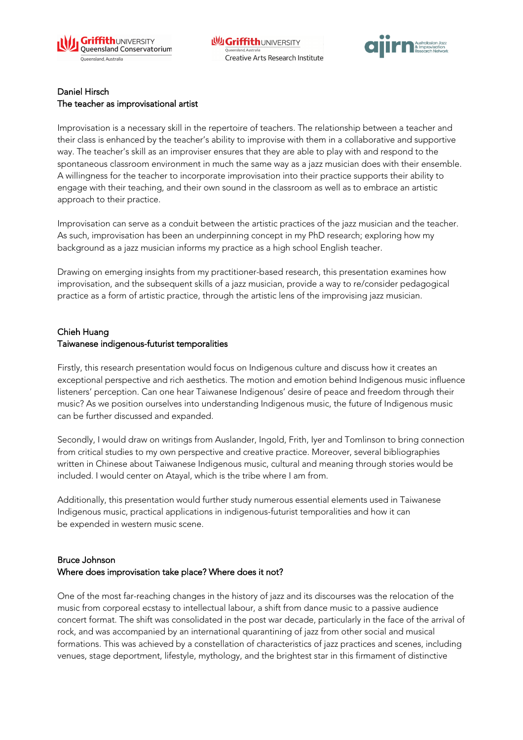



#### Daniel Hirsch The teacher as improvisational artist

Improvisation is a necessary skill in the repertoire of teachers. The relationship between a teacher and their class is enhanced by the teacher's ability to improvise with them in a collaborative and supportive way. The teacher's skill as an improviser ensures that they are able to play with and respond to the spontaneous classroom environment in much the same way as a jazz musician does with their ensemble. A willingness for the teacher to incorporate improvisation into their practice supports their ability to engage with their teaching, and their own sound in the classroom as well as to embrace an artistic approach to their practice.

Improvisation can serve as a conduit between the artistic practices of the jazz musician and the teacher. As such, improvisation has been an underpinning concept in my PhD research; exploring how my background as a jazz musician informs my practice as a high school English teacher.

Drawing on emerging insights from my practitioner-based research, this presentation examines how improvisation, and the subsequent skills of a jazz musician, provide a way to re/consider pedagogical practice as a form of artistic practice, through the artistic lens of the improvising jazz musician.

#### Chieh Huang Taiwanese indigenous-futurist temporalities

Firstly, this research presentation would focus on Indigenous culture and discuss how it creates an exceptional perspective and rich aesthetics. The motion and emotion behind Indigenous music influence listeners' perception. Can one hear Taiwanese Indigenous' desire of peace and freedom through their music? As we position ourselves into understanding Indigenous music, the future of Indigenous music can be further discussed and expanded.

Secondly, I would draw on writings from Auslander, Ingold, Frith, Iyer and Tomlinson to bring connection from critical studies to my own perspective and creative practice. Moreover, several bibliographies written in Chinese about Taiwanese Indigenous music, cultural and meaning through stories would be included. I would center on Atayal, which is the tribe where I am from.

Additionally, this presentation would further study numerous essential elements used in Taiwanese Indigenous music, practical applications in indigenous-futurist temporalities and how it can be expended in western music scene.

## Bruce Johnson Where does improvisation take place? Where does it not?

One of the most far-reaching changes in the history of jazz and its discourses was the relocation of the music from corporeal ecstasy to intellectual labour, a shift from dance music to a passive audience concert format. The shift was consolidated in the post war decade, particularly in the face of the arrival of rock, and was accompanied by an international quarantining of jazz from other social and musical formations. This was achieved by a constellation of characteristics of jazz practices and scenes, including venues, stage deportment, lifestyle, mythology, and the brightest star in this firmament of distinctive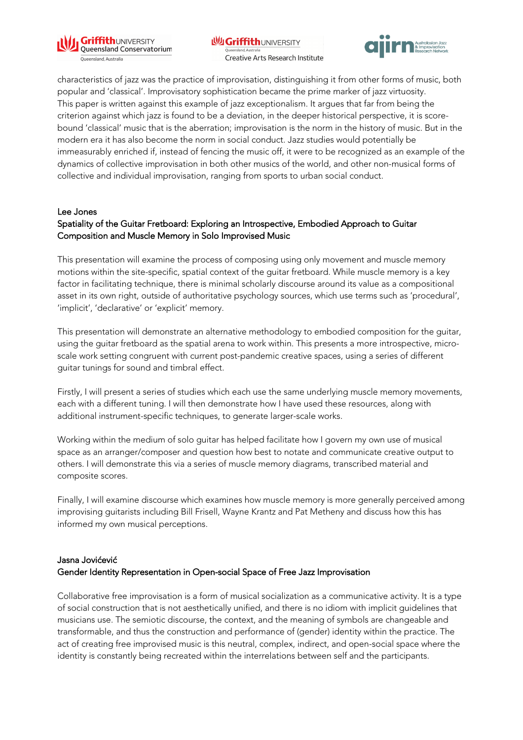

**NUGriffithUNIVERSITY** Creative Arts Research Institute



characteristics of jazz was the practice of improvisation, distinguishing it from other forms of music, both popular and 'classical'. Improvisatory sophistication became the prime marker of jazz virtuosity. This paper is written against this example of jazz exceptionalism. It argues that far from being the criterion against which jazz is found to be a deviation, in the deeper historical perspective, it is scorebound 'classical' music that is the aberration; improvisation is the norm in the history of music. But in the modern era it has also become the norm in social conduct. Jazz studies would potentially be immeasurably enriched if, instead of fencing the music off, it were to be recognized as an example of the dynamics of collective improvisation in both other musics of the world, and other non-musical forms of collective and individual improvisation, ranging from sports to urban social conduct.

#### Lee Jones

### Spatiality of the Guitar Fretboard: Exploring an Introspective, Embodied Approach to Guitar Composition and Muscle Memory in Solo Improvised Music

This presentation will examine the process of composing using only movement and muscle memory motions within the site-specific, spatial context of the guitar fretboard. While muscle memory is a key factor in facilitating technique, there is minimal scholarly discourse around its value as a compositional asset in its own right, outside of authoritative psychology sources, which use terms such as 'procedural', 'implicit', 'declarative' or 'explicit' memory.

This presentation will demonstrate an alternative methodology to embodied composition for the guitar, using the guitar fretboard as the spatial arena to work within. This presents a more introspective, microscale work setting congruent with current post-pandemic creative spaces, using a series of different guitar tunings for sound and timbral effect.

Firstly, I will present a series of studies which each use the same underlying muscle memory movements, each with a different tuning. I will then demonstrate how I have used these resources, along with additional instrument-specific techniques, to generate larger-scale works.

Working within the medium of solo guitar has helped facilitate how I govern my own use of musical space as an arranger/composer and question how best to notate and communicate creative output to others. I will demonstrate this via a series of muscle memory diagrams, transcribed material and composite scores.

Finally, I will examine discourse which examines how muscle memory is more generally perceived among improvising guitarists including Bill Frisell, Wayne Krantz and Pat Metheny and discuss how this has informed my own musical perceptions.

#### Jasna Jovićević Gender Identity Representation in Open-social Space of Free Jazz Improvisation

Collaborative free improvisation is a form of musical socialization as a communicative activity. It is a type of social construction that is not aesthetically unified, and there is no idiom with implicit guidelines that musicians use. The semiotic discourse, the context, and the meaning of symbols are changeable and transformable, and thus the construction and performance of (gender) identity within the practice. The act of creating free improvised music is this neutral, complex, indirect, and open-social space where the identity is constantly being recreated within the interrelations between self and the participants.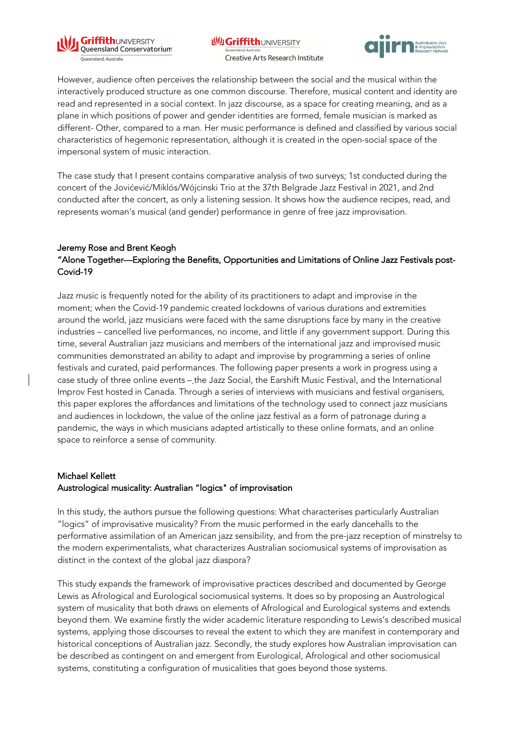

**WGriffithUNIVERSITY** Creative Arts Research Institute



However, audience often perceives the relationship between the social and the musical within the interactively produced structure as one common discourse. Therefore, musical content and identity are read and represented in a social context. In jazz discourse, as a space for creating meaning, and as a plane in which positions of power and gender identities are formed, female musician is marked as different- Other, compared to a man. Her music performance is defined and classified by various social characteristics of hegemonic representation, although it is created in the open-social space of the impersonal system of music interaction.

The case study that I present contains comparative analysis of two surveys; 1st conducted during the concert of the Jovićević/Miklós/Wójcinski Trio at the 37th Belgrade Jazz Festival in 2021, and 2nd conducted after the concert, as only a listening session. It shows how the audience recipes, read, and represents woman's musical (and gender) performance in genre of free jazz improvisation.

### Jeremy Rose and Brent Keogh "Alone Together—Exploring the Benefits, Opportunities and Limitations of Online Jazz Festivals post-Covid-19

Jazz music is frequently noted for the ability of its practitioners to adapt and improvise in the moment; when the Covid-19 pandemic created lockdowns of various durations and extremities around the world, jazz musicians were faced with the same disruptions face by many in the creative industries – cancelled live performances, no income, and little if any government support. During this time, several Australian jazz musicians and members of the international jazz and improvised music communities demonstrated an ability to adapt and improvise by programming a series of online festivals and curated, paid performances. The following paper presents a work in progress using a case study of three online events – the Jazz Social, the Earshift Music Festival, and the International Improv Fest hosted in Canada. Through a series of interviews with musicians and festival organisers, this paper explores the affordances and limitations of the technology used to connect jazz musicians and audiences in lockdown, the value of the online jazz festival as a form of patronage during a pandemic, the ways in which musicians adapted artistically to these online formats, and an online space to reinforce a sense of community.

### Michael Kellett

### Austrological musicality: Australian "logics" of improvisation

In this study, the authors pursue the following questions: What characterises particularly Australian "logics" of improvisative musicality? From the music performed in the early dancehalls to the performative assimilation of an American jazz sensibility, and from the pre-jazz reception of minstrelsy to the modern experimentalists, what characterizes Australian sociomusical systems of improvisation as distinct in the context of the global jazz diaspora?

This study expands the framework of improvisative practices described and documented by George Lewis as Afrological and Eurological sociomusical systems. It does so by proposing an Austrological system of musicality that both draws on elements of Afrological and Eurological systems and extends beyond them. We examine firstly the wider academic literature responding to Lewis's described musical systems, applying those discourses to reveal the extent to which they are manifest in contemporary and historical conceptions of Australian jazz. Secondly, the study explores how Australian improvisation can be described as contingent on and emergent from Eurological, Afrological and other sociomusical systems, constituting a configuration of musicalities that goes beyond those systems.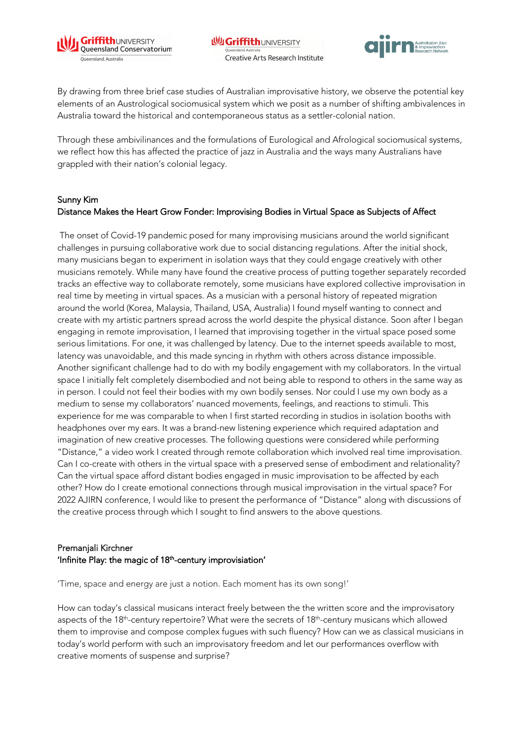



By drawing from three brief case studies of Australian improvisative history, we observe the potential key elements of an Austrological sociomusical system which we posit as a number of shifting ambivalences in Australia toward the historical and contemporaneous status as a settler-colonial nation.

Through these ambivilinances and the formulations of Eurological and Afrological sociomusical systems, we reflect how this has affected the practice of jazz in Australia and the ways many Australians have grappled with their nation's colonial legacy.

### Sunny Kim Distance Makes the Heart Grow Fonder: Improvising Bodies in Virtual Space as Subjects of Affect

The onset of Covid-19 pandemic posed for many improvising musicians around the world significant challenges in pursuing collaborative work due to social distancing regulations. After the initial shock, many musicians began to experiment in isolation ways that they could engage creatively with other musicians remotely. While many have found the creative process of putting together separately recorded tracks an effective way to collaborate remotely, some musicians have explored collective improvisation in real time by meeting in virtual spaces. As a musician with a personal history of repeated migration around the world (Korea, Malaysia, Thailand, USA, Australia) I found myself wanting to connect and create with my artistic partners spread across the world despite the physical distance. Soon after I began engaging in remote improvisation, I learned that improvising together in the virtual space posed some serious limitations. For one, it was challenged by latency. Due to the internet speeds available to most, latency was unavoidable, and this made syncing in rhythm with others across distance impossible. Another significant challenge had to do with my bodily engagement with my collaborators. In the virtual space I initially felt completely disembodied and not being able to respond to others in the same way as in person. I could not feel their bodies with my own bodily senses. Nor could I use my own body as a medium to sense my collaborators' nuanced movements, feelings, and reactions to stimuli. This experience for me was comparable to when I first started recording in studios in isolation booths with headphones over my ears. It was a brand-new listening experience which required adaptation and imagination of new creative processes. The following questions were considered while performing "Distance," a video work I created through remote collaboration which involved real time improvisation. Can I co-create with others in the virtual space with a preserved sense of embodiment and relationality? Can the virtual space afford distant bodies engaged in music improvisation to be affected by each other? How do I create emotional connections through musical improvisation in the virtual space? For 2022 AJIRN conference, I would like to present the performance of "Distance" along with discussions of the creative process through which I sought to find answers to the above questions.

## Premanjali Kirchner 'Infinite Play: the magic of  $18<sup>th</sup>$ -century improvisiation'

'Time, space and energy are just a notion. Each moment has its own song!'

How can today's classical musicans interact freely between the the written score and the improvisatory aspects of the 18<sup>th</sup>-century repertoire? What were the secrets of 18<sup>th</sup>-century musicans which allowed them to improvise and compose complex fugues with such fluency? How can we as classical musicians in today's world perform with such an improvisatory freedom and let our performances overflow with creative moments of suspense and surprise?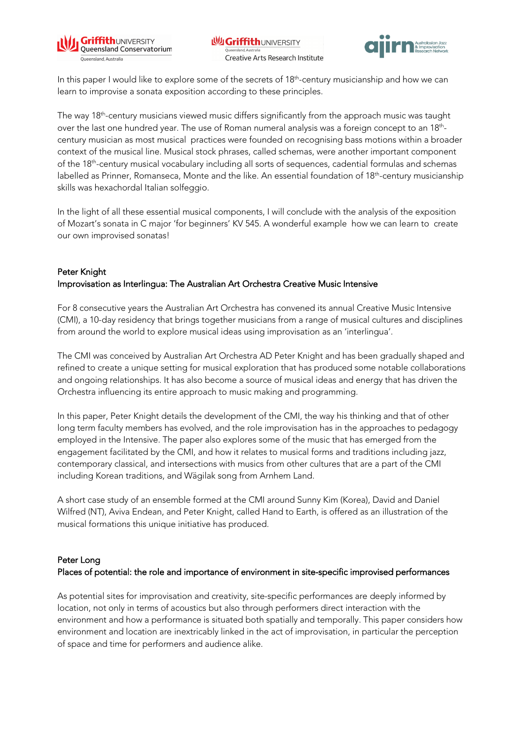



In this paper I would like to explore some of the secrets of 18<sup>th</sup>-century musicianship and how we can learn to improvise a sonata exposition according to these principles.

The way 18<sup>th</sup>-century musicians viewed music differs significantly from the approach music was taught over the last one hundred year. The use of Roman numeral analysis was a foreign concept to an 18<sup>th</sup>century musician as most musical practices were founded on recognising bass motions within a broader context of the musical line. Musical stock phrases, called schemas, were another important component of the 18th-century musical vocabulary including all sorts of sequences, cadential formulas and schemas labelled as Prinner, Romanseca, Monte and the like. An essential foundation of 18th-century musicianship skills was hexachordal Italian solfeggio.

In the light of all these essential musical components, I will conclude with the analysis of the exposition of Mozart's sonata in C major 'for beginners' KV 545. A wonderful example how we can learn to create our own improvised sonatas!

## Peter Knight Improvisation as Interlingua: The Australian Art Orchestra Creative Music Intensive

For 8 consecutive years the Australian Art Orchestra has convened its annual Creative Music Intensive (CMI), a 10-day residency that brings together musicians from a range of musical cultures and disciplines from around the world to explore musical ideas using improvisation as an 'interlingua'.

The CMI was conceived by Australian Art Orchestra AD Peter Knight and has been gradually shaped and refined to create a unique setting for musical exploration that has produced some notable collaborations and ongoing relationships. It has also become a source of musical ideas and energy that has driven the Orchestra influencing its entire approach to music making and programming.

In this paper, Peter Knight details the development of the CMI, the way his thinking and that of other long term faculty members has evolved, and the role improvisation has in the approaches to pedagogy employed in the Intensive. The paper also explores some of the music that has emerged from the engagement facilitated by the CMI, and how it relates to musical forms and traditions including jazz, contemporary classical, and intersections with musics from other cultures that are a part of the CMI including Korean traditions, and Wägilak song from Arnhem Land.

A short case study of an ensemble formed at the CMI around Sunny Kim (Korea), David and Daniel Wilfred (NT), Aviva Endean, and Peter Knight, called Hand to Earth, is offered as an illustration of the musical formations this unique initiative has produced.

### Peter Long

### Places of potential: the role and importance of environment in site-specific improvised performances

As potential sites for improvisation and creativity, site-specific performances are deeply informed by location, not only in terms of acoustics but also through performers direct interaction with the environment and how a performance is situated both spatially and temporally. This paper considers how environment and location are inextricably linked in the act of improvisation, in particular the perception of space and time for performers and audience alike.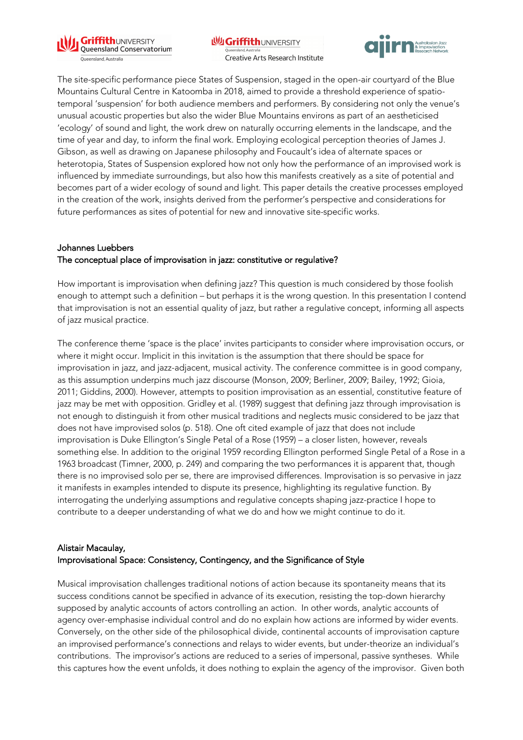

**WI Griffith UNIVERSITY** Queensland, Australi Creative Arts Research Institute



The site-specific performance piece States of Suspension, staged in the open-air courtyard of the Blue Mountains Cultural Centre in Katoomba in 2018, aimed to provide a threshold experience of spatiotemporal 'suspension' for both audience members and performers. By considering not only the venue's unusual acoustic properties but also the wider Blue Mountains environs as part of an aestheticised 'ecology' of sound and light, the work drew on naturally occurring elements in the landscape, and the time of year and day, to inform the final work. Employing ecological perception theories of James J. Gibson, as well as drawing on Japanese philosophy and Foucault's idea of alternate spaces or heterotopia, States of Suspension explored how not only how the performance of an improvised work is influenced by immediate surroundings, but also how this manifests creatively as a site of potential and becomes part of a wider ecology of sound and light. This paper details the creative processes employed in the creation of the work, insights derived from the performer's perspective and considerations for future performances as sites of potential for new and innovative site-specific works.

## Johannes Luebbers The conceptual place of improvisation in jazz: constitutive or regulative?

How important is improvisation when defining jazz? This question is much considered by those foolish enough to attempt such a definition – but perhaps it is the wrong question. In this presentation I contend that improvisation is not an essential quality of jazz, but rather a regulative concept, informing all aspects of jazz musical practice.

The conference theme 'space is the place' invites participants to consider where improvisation occurs, or where it might occur. Implicit in this invitation is the assumption that there should be space for improvisation in jazz, and jazz-adjacent, musical activity. The conference committee is in good company, as this assumption underpins much jazz discourse (Monson, 2009; Berliner, 2009; Bailey, 1992; Gioia, 2011; Giddins, 2000). However, attempts to position improvisation as an essential, constitutive feature of jazz may be met with opposition. Gridley et al. (1989) suggest that defining jazz through improvisation is not enough to distinguish it from other musical traditions and neglects music considered to be jazz that does not have improvised solos (p. 518). One oft cited example of jazz that does not include improvisation is Duke Ellington's Single Petal of a Rose (1959) – a closer listen, however, reveals something else. In addition to the original 1959 recording Ellington performed Single Petal of a Rose in a 1963 broadcast (Timner, 2000, p. 249) and comparing the two performances it is apparent that, though there is no improvised solo per se, there are improvised differences. Improvisation is so pervasive in jazz it manifests in examples intended to dispute its presence, highlighting its regulative function. By interrogating the underlying assumptions and regulative concepts shaping jazz-practice I hope to contribute to a deeper understanding of what we do and how we might continue to do it.

## Alistair Macaulay, Improvisational Space: Consistency, Contingency, and the Significance of Style

Musical improvisation challenges traditional notions of action because its spontaneity means that its success conditions cannot be specified in advance of its execution, resisting the top-down hierarchy supposed by analytic accounts of actors controlling an action. In other words, analytic accounts of agency over-emphasise individual control and do no explain how actions are informed by wider events. Conversely, on the other side of the philosophical divide, continental accounts of improvisation capture an improvised performance's connections and relays to wider events, but under-theorize an individual's contributions. The improvisor's actions are reduced to a series of impersonal, passive syntheses. While this captures how the event unfolds, it does nothing to explain the agency of the improvisor. Given both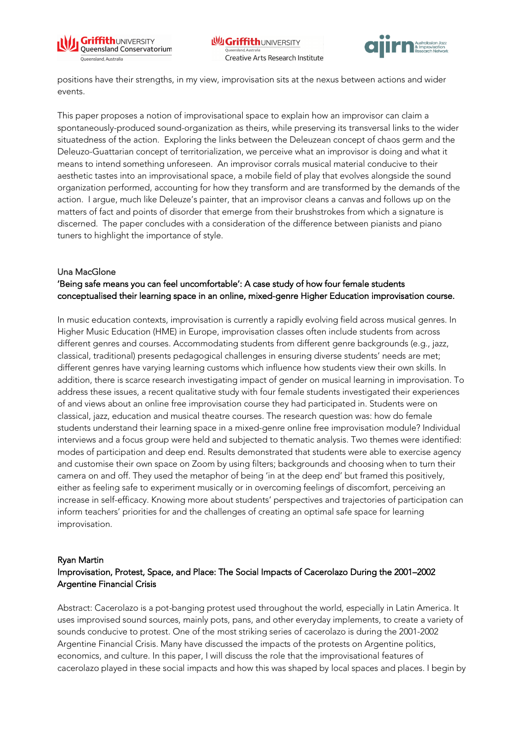



positions have their strengths, in my view, improvisation sits at the nexus between actions and wider events.

This paper proposes a notion of improvisational space to explain how an improvisor can claim a spontaneously-produced sound-organization as theirs, while preserving its transversal links to the wider situatedness of the action. Exploring the links between the Deleuzean concept of chaos germ and the Deleuzo-Guattarian concept of territorialization, we perceive what an improvisor is doing and what it means to intend something unforeseen. An improvisor corrals musical material conducive to their aesthetic tastes into an improvisational space, a mobile field of play that evolves alongside the sound organization performed, accounting for how they transform and are transformed by the demands of the action. I argue, much like Deleuze's painter, that an improvisor cleans a canvas and follows up on the matters of fact and points of disorder that emerge from their brushstrokes from which a signature is discerned. The paper concludes with a consideration of the difference between pianists and piano tuners to highlight the importance of style.

#### Una MacGlone

## 'Being safe means you can feel uncomfortable': A case study of how four female students conceptualised their learning space in an online, mixed-genre Higher Education improvisation course.

In music education contexts, improvisation is currently a rapidly evolving field across musical genres. In Higher Music Education (HME) in Europe, improvisation classes often include students from across different genres and courses. Accommodating students from different genre backgrounds (e.g., jazz, classical, traditional) presents pedagogical challenges in ensuring diverse students' needs are met; different genres have varying learning customs which influence how students view their own skills. In addition, there is scarce research investigating impact of gender on musical learning in improvisation. To address these issues, a recent qualitative study with four female students investigated their experiences of and views about an online free improvisation course they had participated in. Students were on classical, jazz, education and musical theatre courses. The research question was: how do female students understand their learning space in a mixed-genre online free improvisation module? Individual interviews and a focus group were held and subjected to thematic analysis. Two themes were identified: modes of participation and deep end. Results demonstrated that students were able to exercise agency and customise their own space on Zoom by using filters; backgrounds and choosing when to turn their camera on and off. They used the metaphor of being 'in at the deep end' but framed this positively, either as feeling safe to experiment musically or in overcoming feelings of discomfort, perceiving an increase in self-efficacy. Knowing more about students' perspectives and trajectories of participation can inform teachers' priorities for and the challenges of creating an optimal safe space for learning improvisation.

#### Ryan Martin

## Improvisation, Protest, Space, and Place: The Social Impacts of Cacerolazo During the 2001–2002 Argentine Financial Crisis

Abstract: Cacerolazo is a pot-banging protest used throughout the world, especially in Latin America. It uses improvised sound sources, mainly pots, pans, and other everyday implements, to create a variety of sounds conducive to protest. One of the most striking series of cacerolazo is during the 2001-2002 Argentine Financial Crisis. Many have discussed the impacts of the protests on Argentine politics, economics, and culture. In this paper, I will discuss the role that the improvisational features of cacerolazo played in these social impacts and how this was shaped by local spaces and places. I begin by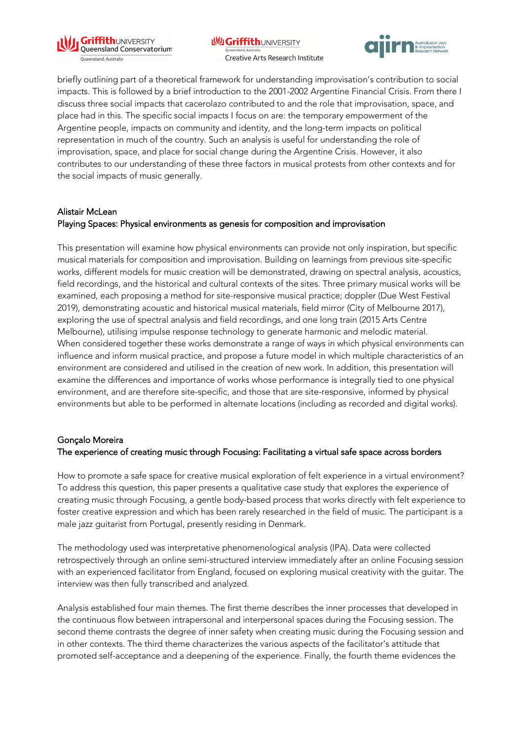

**WI Griffith UNIVERSITY** Queensland, Australi Creative Arts Research Institute



briefly outlining part of a theoretical framework for understanding improvisation's contribution to social impacts. This is followed by a brief introduction to the 2001-2002 Argentine Financial Crisis. From there I discuss three social impacts that cacerolazo contributed to and the role that improvisation, space, and place had in this. The specific social impacts I focus on are: the temporary empowerment of the Argentine people, impacts on community and identity, and the long-term impacts on political representation in much of the country. Such an analysis is useful for understanding the role of improvisation, space, and place for social change during the Argentine Crisis. However, it also contributes to our understanding of these three factors in musical protests from other contexts and for the social impacts of music generally.

#### Alistair McLean

### Playing Spaces: Physical environments as genesis for composition and improvisation

This presentation will examine how physical environments can provide not only inspiration, but specific musical materials for composition and improvisation. Building on learnings from previous site-specific works, different models for music creation will be demonstrated, drawing on spectral analysis, acoustics, field recordings, and the historical and cultural contexts of the sites. Three primary musical works will be examined, each proposing a method for site-responsive musical practice; doppler (Due West Festival 2019), demonstrating acoustic and historical musical materials, field mirror (City of Melbourne 2017), exploring the use of spectral analysis and field recordings, and one long train (2015 Arts Centre Melbourne), utilising impulse response technology to generate harmonic and melodic material. When considered together these works demonstrate a range of ways in which physical environments can influence and inform musical practice, and propose a future model in which multiple characteristics of an environment are considered and utilised in the creation of new work. In addition, this presentation will examine the differences and importance of works whose performance is integrally tied to one physical environment, and are therefore site-specific, and those that are site-responsive, informed by physical environments but able to be performed in alternate locations (including as recorded and digital works).

#### Gonçalo Moreira The experience of creating music through Focusing: Facilitating a virtual safe space across borders

How to promote a safe space for creative musical exploration of felt experience in a virtual environment? To address this question, this paper presents a qualitative case study that explores the experience of creating music through Focusing, a gentle body-based process that works directly with felt experience to foster creative expression and which has been rarely researched in the field of music. The participant is a male jazz guitarist from Portugal, presently residing in Denmark.

The methodology used was interpretative phenomenological analysis (IPA). Data were collected retrospectively through an online semi-structured interview immediately after an online Focusing session with an experienced facilitator from England, focused on exploring musical creativity with the guitar. The interview was then fully transcribed and analyzed.

Analysis established four main themes. The first theme describes the inner processes that developed in the continuous flow between intrapersonal and interpersonal spaces during the Focusing session. The second theme contrasts the degree of inner safety when creating music during the Focusing session and in other contexts. The third theme characterizes the various aspects of the facilitator's attitude that promoted self-acceptance and a deepening of the experience. Finally, the fourth theme evidences the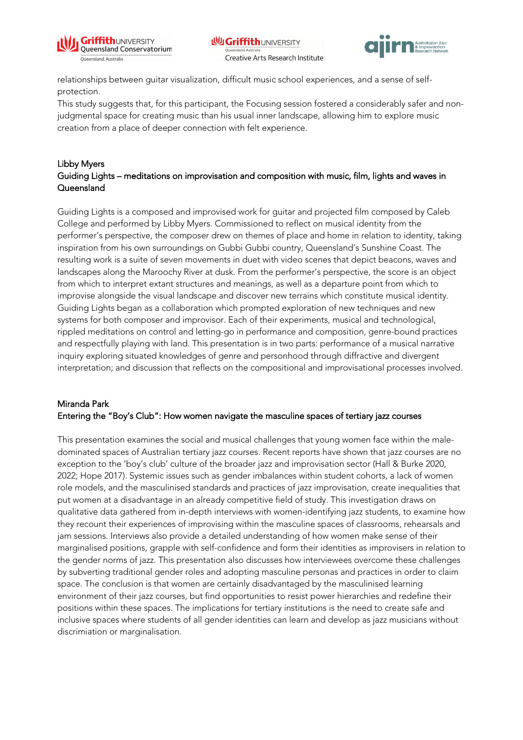



relationships between guitar visualization, difficult music school experiences, and a sense of selfprotection.

This study suggests that, for this participant, the Focusing session fostered a considerably safer and nonjudgmental space for creating music than his usual inner landscape, allowing him to explore music creation from a place of deeper connection with felt experience.

### Libby Myers Guiding Lights – meditations on improvisation and composition with music, film, lights and waves in Queensland

Guiding Lights is a composed and improvised work for guitar and projected film composed by Caleb College and performed by Libby Myers. Commissioned to reflect on musical identity from the performer's perspective, the composer drew on themes of place and home in relation to identity, taking inspiration from his own surroundings on Gubbi Gubbi country, Queensland's Sunshine Coast. The resulting work is a suite of seven movements in duet with video scenes that depict beacons, waves and landscapes along the Maroochy River at dusk. From the performer's perspective, the score is an object from which to interpret extant structures and meanings, as well as a departure point from which to improvise alongside the visual landscape and discover new terrains which constitute musical identity. Guiding Lights began as a collaboration which prompted exploration of new techniques and new systems for both composer and improvisor. Each of their experiments, musical and technological, rippled meditations on control and letting-go in performance and composition, genre-bound practices and respectfully playing with land. This presentation is in two parts: performance of a musical narrative inquiry exploring situated knowledges of genre and personhood through diffractive and divergent interpretation; and discussion that reflects on the compositional and improvisational processes involved.

### Miranda Park Entering the "Boy's Club": How women navigate the masculine spaces of tertiary jazz courses

This presentation examines the social and musical challenges that young women face within the maledominated spaces of Australian tertiary jazz courses. Recent reports have shown that jazz courses are no exception to the 'boy's club' culture of the broader jazz and improvisation sector (Hall & Burke 2020, 2022; Hope 2017). Systemic issues such as gender imbalances within student cohorts, a lack of women role models, and the masculinised standards and practices of jazz improvisation, create inequalities that put women at a disadvantage in an already competitive field of study. This investigation draws on qualitative data gathered from in-depth interviews with women-identifying jazz students, to examine how they recount their experiences of improvising within the masculine spaces of classrooms, rehearsals and jam sessions. Interviews also provide a detailed understanding of how women make sense of their marginalised positions, grapple with self-confidence and form their identities as improvisers in relation to the gender norms of jazz. This presentation also discusses how interviewees overcome these challenges by subverting traditional gender roles and adopting masculine personas and practices in order to claim space. The conclusion is that women are certainly disadvantaged by the masculinised learning environment of their jazz courses, but find opportunities to resist power hierarchies and redefine their positions within these spaces. The implications for tertiary institutions is the need to create safe and inclusive spaces where students of all gender identities can learn and develop as jazz musicians without discrimiation or marginalisation.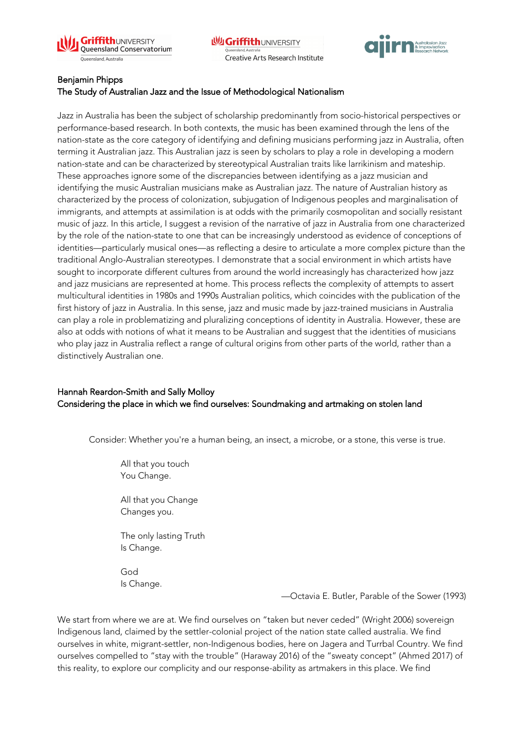



#### Benjamin Phipps

#### The Study of Australian Jazz and the Issue of Methodological Nationalism

Jazz in Australia has been the subject of scholarship predominantly from socio-historical perspectives or performance-based research. In both contexts, the music has been examined through the lens of the nation-state as the core category of identifying and defining musicians performing jazz in Australia, often terming it Australian jazz. This Australian jazz is seen by scholars to play a role in developing a modern nation-state and can be characterized by stereotypical Australian traits like larrikinism and mateship. These approaches ignore some of the discrepancies between identifying as a jazz musician and identifying the music Australian musicians make as Australian jazz. The nature of Australian history as characterized by the process of colonization, subjugation of Indigenous peoples and marginalisation of immigrants, and attempts at assimilation is at odds with the primarily cosmopolitan and socially resistant music of jazz. In this article, I suggest a revision of the narrative of jazz in Australia from one characterized by the role of the nation-state to one that can be increasingly understood as evidence of conceptions of identities—particularly musical ones—as reflecting a desire to articulate a more complex picture than the traditional Anglo-Australian stereotypes. I demonstrate that a social environment in which artists have sought to incorporate different cultures from around the world increasingly has characterized how jazz and jazz musicians are represented at home. This process reflects the complexity of attempts to assert multicultural identities in 1980s and 1990s Australian politics, which coincides with the publication of the first history of jazz in Australia. In this sense, jazz and music made by jazz-trained musicians in Australia can play a role in problematizing and pluralizing conceptions of identity in Australia. However, these are also at odds with notions of what it means to be Australian and suggest that the identities of musicians who play jazz in Australia reflect a range of cultural origins from other parts of the world, rather than a distinctively Australian one.

### Hannah Reardon-Smith and Sally Molloy Considering the place in which we find ourselves: Soundmaking and artmaking on stolen land

Consider: Whether you're a human being, an insect, a microbe, or a stone, this verse is true.

All that you touch You Change.

All that you Change Changes you.

The only lasting Truth Is Change.

God Is Change.

—Octavia E. Butler, Parable of the Sower (1993)

We start from where we are at. We find ourselves on "taken but never ceded" (Wright 2006) sovereign Indigenous land, claimed by the settler-colonial project of the nation state called australia. We find ourselves in white, migrant-settler, non-Indigenous bodies, here on Jagera and Turrbal Country. We find ourselves compelled to "stay with the trouble" (Haraway 2016) of the "sweaty concept" (Ahmed 2017) of this reality, to explore our complicity and our response-ability as artmakers in this place. We find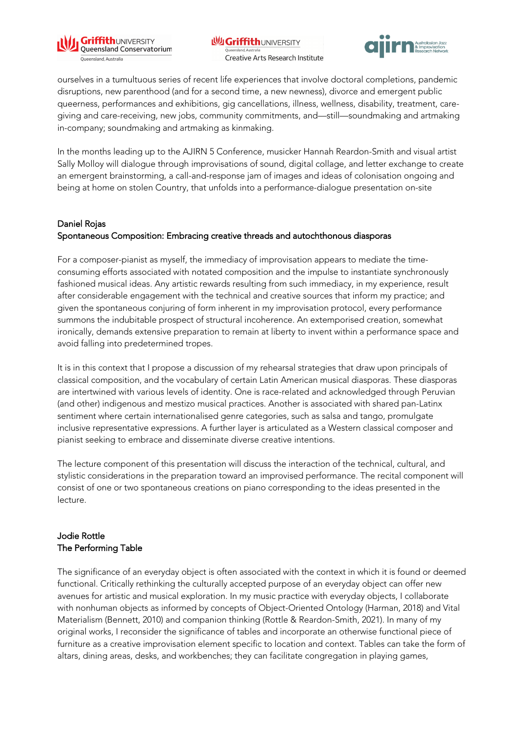

**WGriffithUNIVERSITY** Creative Arts Research Institute



ourselves in a tumultuous series of recent life experiences that involve doctoral completions, pandemic disruptions, new parenthood (and for a second time, a new newness), divorce and emergent public queerness, performances and exhibitions, gig cancellations, illness, wellness, disability, treatment, caregiving and care-receiving, new jobs, community commitments, and—still—soundmaking and artmaking in-company; soundmaking and artmaking as kinmaking.

In the months leading up to the AJIRN 5 Conference, musicker Hannah Reardon-Smith and visual artist Sally Molloy will dialogue through improvisations of sound, digital collage, and letter exchange to create an emergent brainstorming, a call-and-response jam of images and ideas of colonisation ongoing and being at home on stolen Country, that unfolds into a performance-dialogue presentation on-site

#### Daniel Rojas Spontaneous Composition: Embracing creative threads and autochthonous diasporas

For a composer-pianist as myself, the immediacy of improvisation appears to mediate the timeconsuming efforts associated with notated composition and the impulse to instantiate synchronously fashioned musical ideas. Any artistic rewards resulting from such immediacy, in my experience, result after considerable engagement with the technical and creative sources that inform my practice; and given the spontaneous conjuring of form inherent in my improvisation protocol, every performance summons the indubitable prospect of structural incoherence. An extemporised creation, somewhat ironically, demands extensive preparation to remain at liberty to invent within a performance space and avoid falling into predetermined tropes.

It is in this context that I propose a discussion of my rehearsal strategies that draw upon principals of classical composition, and the vocabulary of certain Latin American musical diasporas. These diasporas are intertwined with various levels of identity. One is race-related and acknowledged through Peruvian (and other) indigenous and mestizo musical practices. Another is associated with shared pan-Latinx sentiment where certain internationalised genre categories, such as salsa and tango, promulgate inclusive representative expressions. A further layer is articulated as a Western classical composer and pianist seeking to embrace and disseminate diverse creative intentions.

The lecture component of this presentation will discuss the interaction of the technical, cultural, and stylistic considerations in the preparation toward an improvised performance. The recital component will consist of one or two spontaneous creations on piano corresponding to the ideas presented in the lecture.

## Jodie Rottle The Performing Table

The significance of an everyday object is often associated with the context in which it is found or deemed functional. Critically rethinking the culturally accepted purpose of an everyday object can offer new avenues for artistic and musical exploration. In my music practice with everyday objects, I collaborate with nonhuman objects as informed by concepts of Object-Oriented Ontology (Harman, 2018) and Vital Materialism (Bennett, 2010) and companion thinking (Rottle & Reardon-Smith, 2021). In many of my original works, I reconsider the significance of tables and incorporate an otherwise functional piece of furniture as a creative improvisation element specific to location and context. Tables can take the form of altars, dining areas, desks, and workbenches; they can facilitate congregation in playing games,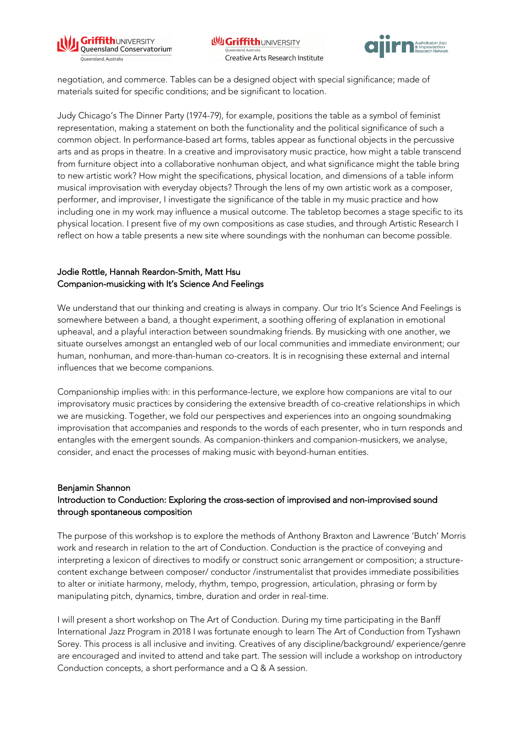



negotiation, and commerce. Tables can be a designed object with special significance; made of materials suited for specific conditions; and be significant to location.

Judy Chicago's The Dinner Party (1974-79), for example, positions the table as a symbol of feminist representation, making a statement on both the functionality and the political significance of such a common object. In performance-based art forms, tables appear as functional objects in the percussive arts and as props in theatre. In a creative and improvisatory music practice, how might a table transcend from furniture object into a collaborative nonhuman object, and what significance might the table bring to new artistic work? How might the specifications, physical location, and dimensions of a table inform musical improvisation with everyday objects? Through the lens of my own artistic work as a composer, performer, and improviser, I investigate the significance of the table in my music practice and how including one in my work may influence a musical outcome. The tabletop becomes a stage specific to its physical location. I present five of my own compositions as case studies, and through Artistic Research I reflect on how a table presents a new site where soundings with the nonhuman can become possible.

### Jodie Rottle, Hannah Reardon-Smith, Matt Hsu Companion-musicking with It's Science And Feelings

We understand that our thinking and creating is always in company. Our trio It's Science And Feelings is somewhere between a band, a thought experiment, a soothing offering of explanation in emotional upheaval, and a playful interaction between soundmaking friends. By musicking with one another, we situate ourselves amongst an entangled web of our local communities and immediate environment; our human, nonhuman, and more-than-human co-creators. It is in recognising these external and internal influences that we become companions.

Companionship implies with: in this performance-lecture, we explore how companions are vital to our improvisatory music practices by considering the extensive breadth of co-creative relationships in which we are musicking. Together, we fold our perspectives and experiences into an ongoing soundmaking improvisation that accompanies and responds to the words of each presenter, who in turn responds and entangles with the emergent sounds. As companion-thinkers and companion-musickers, we analyse, consider, and enact the processes of making music with beyond-human entities.

#### Benjamin Shannon Introduction to Conduction: Exploring the cross-section of improvised and non-improvised sound through spontaneous composition

The purpose of this workshop is to explore the methods of Anthony Braxton and Lawrence 'Butch' Morris work and research in relation to the art of Conduction. Conduction is the practice of conveying and interpreting a lexicon of directives to modify or construct sonic arrangement or composition; a structurecontent exchange between composer/ conductor /instrumentalist that provides immediate possibilities to alter or initiate harmony, melody, rhythm, tempo, progression, articulation, phrasing or form by manipulating pitch, dynamics, timbre, duration and order in real-time.

I will present a short workshop on The Art of Conduction. During my time participating in the Banff International Jazz Program in 2018 I was fortunate enough to learn The Art of Conduction from Tyshawn Sorey. This process is all inclusive and inviting. Creatives of any discipline/background/ experience/genre are encouraged and invited to attend and take part. The session will include a workshop on introductory Conduction concepts, a short performance and a Q & A session.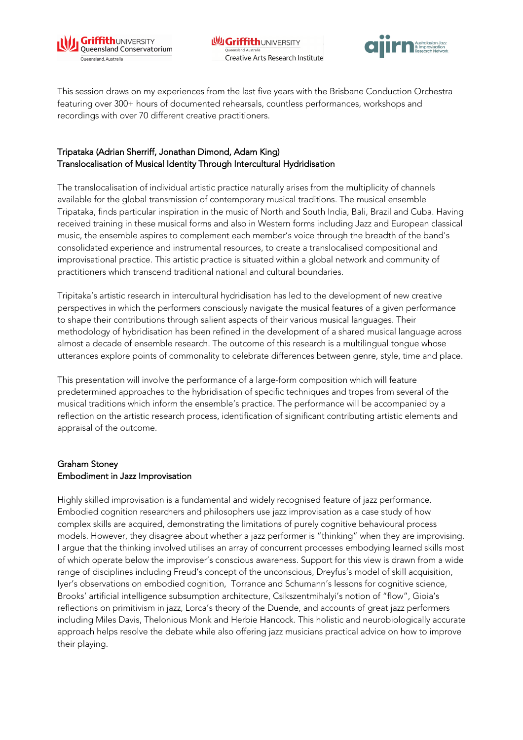



This session draws on my experiences from the last five years with the Brisbane Conduction Orchestra featuring over 300+ hours of documented rehearsals, countless performances, workshops and recordings with over 70 different creative practitioners.

## Tripataka (Adrian Sherriff, Jonathan Dimond, Adam King) Translocalisation of Musical Identity Through Intercultural Hydridisation

The translocalisation of individual artistic practice naturally arises from the multiplicity of channels available for the global transmission of contemporary musical traditions. The musical ensemble Tripataka, finds particular inspiration in the music of North and South India, Bali, Brazil and Cuba. Having received training in these musical forms and also in Western forms including Jazz and European classical music, the ensemble aspires to complement each member's voice through the breadth of the band's consolidated experience and instrumental resources, to create a translocalised compositional and improvisational practice. This artistic practice is situated within a global network and community of practitioners which transcend traditional national and cultural boundaries.

Tripitaka's artistic research in intercultural hydridisation has led to the development of new creative perspectives in which the performers consciously navigate the musical features of a given performance to shape their contributions through salient aspects of their various musical languages. Their methodology of hybridisation has been refined in the development of a shared musical language across almost a decade of ensemble research. The outcome of this research is a multilingual tongue whose utterances explore points of commonality to celebrate differences between genre, style, time and place.

This presentation will involve the performance of a large-form composition which will feature predetermined approaches to the hybridisation of specific techniques and tropes from several of the musical traditions which inform the ensemble's practice. The performance will be accompanied by a reflection on the artistic research process, identification of significant contributing artistic elements and appraisal of the outcome.

### Graham Stoney Embodiment in Jazz Improvisation

Highly skilled improvisation is a fundamental and widely recognised feature of jazz performance. Embodied cognition researchers and philosophers use jazz improvisation as a case study of how complex skills are acquired, demonstrating the limitations of purely cognitive behavioural process models. However, they disagree about whether a jazz performer is "thinking" when they are improvising. I argue that the thinking involved utilises an array of concurrent processes embodying learned skills most of which operate below the improviser's conscious awareness. Support for this view is drawn from a wide range of disciplines including Freud's concept of the unconscious, Dreyfus's model of skill acquisition, Iyer's observations on embodied cognition, Torrance and Schumann's lessons for cognitive science, Brooks' artificial intelligence subsumption architecture, Csikszentmihalyi's notion of "flow", Gioia's reflections on primitivism in jazz, Lorca's theory of the Duende, and accounts of great jazz performers including Miles Davis, Thelonious Monk and Herbie Hancock. This holistic and neurobiologically accurate approach helps resolve the debate while also offering jazz musicians practical advice on how to improve their playing.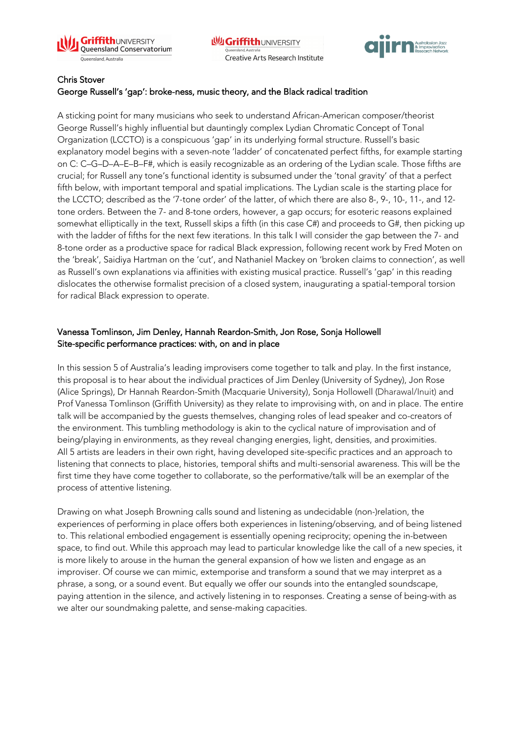



### Chris Stover

### George Russell's 'gap': broke-ness, music theory, and the Black radical tradition

A sticking point for many musicians who seek to understand African-American composer/theorist George Russell's highly influential but dauntingly complex Lydian Chromatic Concept of Tonal Organization (LCCTO) is a conspicuous 'gap' in its underlying formal structure. Russell's basic explanatory model begins with a seven-note 'ladder' of concatenated perfect fifths, for example starting on C: C–G–D–A–E–B–F#, which is easily recognizable as an ordering of the Lydian scale. Those fifths are crucial; for Russell any tone's functional identity is subsumed under the 'tonal gravity' of that a perfect fifth below, with important temporal and spatial implications. The Lydian scale is the starting place for the LCCTO; described as the '7-tone order' of the latter, of which there are also 8-, 9-, 10-, 11-, and 12 tone orders. Between the 7- and 8-tone orders, however, a gap occurs; for esoteric reasons explained somewhat elliptically in the text, Russell skips a fifth (in this case C#) and proceeds to G#, then picking up with the ladder of fifths for the next few iterations. In this talk I will consider the gap between the 7- and 8-tone order as a productive space for radical Black expression, following recent work by Fred Moten on the 'break', Saidiya Hartman on the 'cut', and Nathaniel Mackey on 'broken claims to connection', as well as Russell's own explanations via affinities with existing musical practice. Russell's 'gap' in this reading dislocates the otherwise formalist precision of a closed system, inaugurating a spatial-temporal torsion for radical Black expression to operate.

### Vanessa Tomlinson, Jim Denley, Hannah Reardon-Smith, Jon Rose, Sonja Hollowell Site-specific performance practices: with, on and in place

In this session 5 of Australia's leading improvisers come together to talk and play. In the first instance, this proposal is to hear about the individual practices of Jim Denley (University of Sydney), Jon Rose (Alice Springs), Dr Hannah Reardon-Smith (Macquarie University), Sonja Hollowell (Dharawal/Inuit) and Prof Vanessa Tomlinson (Griffith University) as they relate to improvising with, on and in place. The entire talk will be accompanied by the guests themselves, changing roles of lead speaker and co-creators of the environment. This tumbling methodology is akin to the cyclical nature of improvisation and of being/playing in environments, as they reveal changing energies, light, densities, and proximities. All 5 artists are leaders in their own right, having developed site-specific practices and an approach to listening that connects to place, histories, temporal shifts and multi-sensorial awareness. This will be the first time they have come together to collaborate, so the performative/talk will be an exemplar of the process of attentive listening.

Drawing on what Joseph Browning calls sound and listening as undecidable (non-)relation, the experiences of performing in place offers both experiences in listening/observing, and of being listened to. This relational embodied engagement is essentially opening reciprocity; opening the in-between space, to find out. While this approach may lead to particular knowledge like the call of a new species, it is more likely to arouse in the human the general expansion of how we listen and engage as an improviser. Of course we can mimic, extemporise and transform a sound that we may interpret as a phrase, a song, or a sound event. But equally we offer our sounds into the entangled soundscape, paying attention in the silence, and actively listening in to responses. Creating a sense of being-with as we alter our soundmaking palette, and sense-making capacities.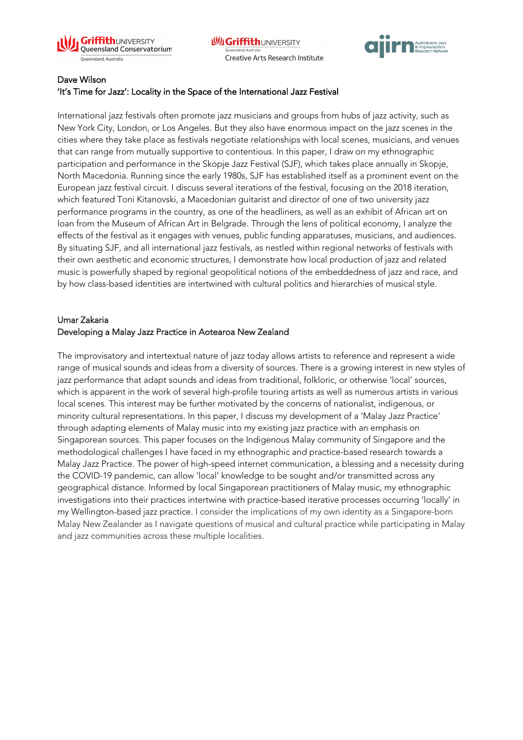



### Dave Wilson

#### 'It's Time for Jazz': Locality in the Space of the International Jazz Festival

International jazz festivals often promote jazz musicians and groups from hubs of jazz activity, such as New York City, London, or Los Angeles. But they also have enormous impact on the jazz scenes in the cities where they take place as festivals negotiate relationships with local scenes, musicians, and venues that can range from mutually supportive to contentious. In this paper, I draw on my ethnographic participation and performance in the Skopje Jazz Festival (SJF), which takes place annually in Skopje, North Macedonia. Running since the early 1980s, SJF has established itself as a prominent event on the European jazz festival circuit. I discuss several iterations of the festival, focusing on the 2018 iteration, which featured Toni Kitanovski, a Macedonian guitarist and director of one of two university jazz performance programs in the country, as one of the headliners, as well as an exhibit of African art on loan from the Museum of African Art in Belgrade. Through the lens of political economy, I analyze the effects of the festival as it engages with venues, public funding apparatuses, musicians, and audiences. By situating SJF, and all international jazz festivals, as nestled within regional networks of festivals with their own aesthetic and economic structures, I demonstrate how local production of jazz and related music is powerfully shaped by regional geopolitical notions of the embeddedness of jazz and race, and by how class-based identities are intertwined with cultural politics and hierarchies of musical style.

#### Umar Zakaria Developing a Malay Jazz Practice in Aotearoa New Zealand

The improvisatory and intertextual nature of jazz today allows artists to reference and represent a wide range of musical sounds and ideas from a diversity of sources. There is a growing interest in new styles of jazz performance that adapt sounds and ideas from traditional, folkloric, or otherwise 'local' sources, which is apparent in the work of several high-profile touring artists as well as numerous artists in various local scenes. This interest may be further motivated by the concerns of nationalist, indigenous, or minority cultural representations. In this paper, I discuss my development of a 'Malay Jazz Practice' through adapting elements of Malay music into my existing jazz practice with an emphasis on Singaporean sources. This paper focuses on the Indigenous Malay community of Singapore and the methodological challenges I have faced in my ethnographic and practice-based research towards a Malay Jazz Practice. The power of high-speed internet communication, a blessing and a necessity during the COVID-19 pandemic, can allow 'local' knowledge to be sought and/or transmitted across any geographical distance. Informed by local Singaporean practitioners of Malay music, my ethnographic investigations into their practices intertwine with practice-based iterative processes occurring 'locally' in my Wellington-based jazz practice. I consider the implications of my own identity as a Singapore-born Malay New Zealander as I navigate questions of musical and cultural practice while participating in Malay and jazz communities across these multiple localities.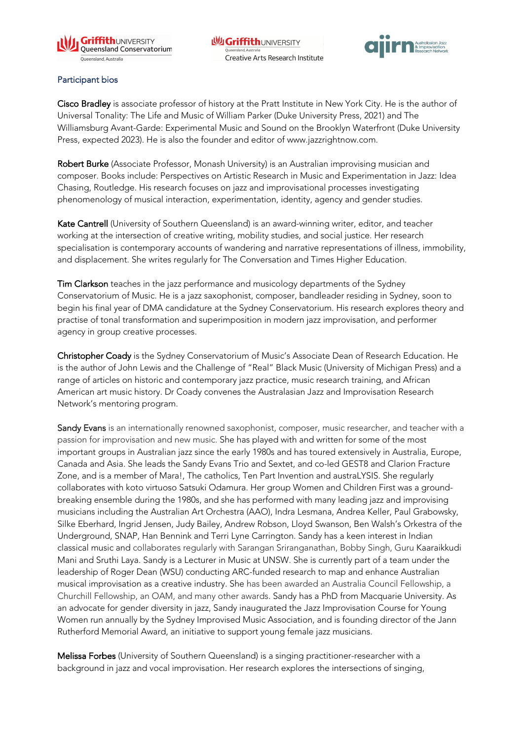



#### Participant bios

Cisco Bradley is associate professor of history at the Pratt Institute in New York City. He is the author of Universal Tonality: The Life and Music of William Parker (Duke University Press, 2021) and The Williamsburg Avant-Garde: Experimental Music and Sound on the Brooklyn Waterfront (Duke University Press, expected 2023). He is also the founder and editor of www.jazzrightnow.com.

Robert Burke (Associate Professor, Monash University) is an Australian improvising musician and composer. Books include: Perspectives on Artistic Research in Music and Experimentation in Jazz: Idea Chasing, Routledge. His research focuses on jazz and improvisational processes investigating phenomenology of musical interaction, experimentation, identity, agency and gender studies.

Kate Cantrell (University of Southern Queensland) is an award-winning writer, editor, and teacher working at the intersection of creative writing, mobility studies, and social justice. Her research specialisation is contemporary accounts of wandering and narrative representations of illness, immobility, and displacement. She writes regularly for The Conversation and Times Higher Education.

Tim Clarkson teaches in the jazz performance and musicology departments of the Sydney Conservatorium of Music. He is a jazz saxophonist, composer, bandleader residing in Sydney, soon to begin his final year of DMA candidature at the Sydney Conservatorium. His research explores theory and practise of tonal transformation and superimposition in modern jazz improvisation, and performer agency in group creative processes.

Christopher Coady is the Sydney Conservatorium of Music's Associate Dean of Research Education. He is the author of John Lewis and the Challenge of "Real" Black Music (University of Michigan Press) and a range of articles on historic and contemporary jazz practice, music research training, and African American art music history. Dr Coady convenes the Australasian Jazz and Improvisation Research Network's mentoring program.

Sandy Evans is an internationally renowned saxophonist, composer, music researcher, and teacher with a passion for improvisation and new music. She has played with and written for some of the most important groups in Australian jazz since the early 1980s and has toured extensively in Australia, Europe, Canada and Asia. She leads the Sandy Evans Trio and Sextet, and co-led GEST8 and Clarion Fracture Zone, and is a member of Mara!, The catholics, Ten Part Invention and austraLYSIS. She regularly collaborates with koto virtuoso Satsuki Odamura. Her group Women and Children First was a groundbreaking ensemble during the 1980s, and she has performed with many leading jazz and improvising musicians including the Australian Art Orchestra (AAO), Indra Lesmana, Andrea Keller, Paul Grabowsky, Silke Eberhard, Ingrid Jensen, Judy Bailey, Andrew Robson, Lloyd Swanson, Ben Walsh's Orkestra of the Underground, SNAP, Han Bennink and Terri Lyne Carrington. Sandy has a keen interest in Indian classical music and collaborates regularly with Sarangan Sriranganathan, Bobby Singh, Guru Kaaraikkudi Mani and Sruthi Laya. Sandy is a Lecturer in Music at UNSW. She is currently part of a team under the leadership of Roger Dean (WSU) conducting ARC-funded research to map and enhance Australian musical improvisation as a creative industry. She has been awarded an Australia Council Fellowship, a Churchill Fellowship, an OAM, and many other awards. Sandy has a PhD from Macquarie University. As an advocate for gender diversity in jazz, Sandy inaugurated the Jazz Improvisation Course for Young Women run annually by the Sydney Improvised Music Association, and is founding director of the Jann Rutherford Memorial Award, an initiative to support young female jazz musicians.

Melissa Forbes (University of Southern Queensland) is a singing practitioner-researcher with a background in jazz and vocal improvisation. Her research explores the intersections of singing,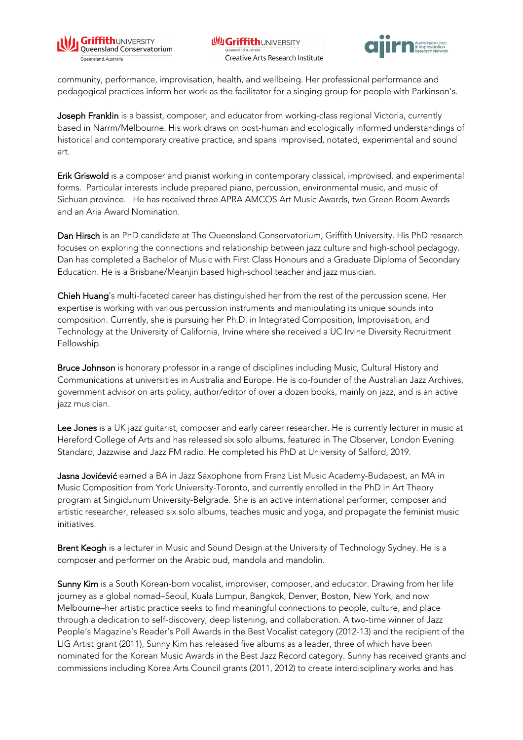



community, performance, improvisation, health, and wellbeing. Her professional performance and pedagogical practices inform her work as the facilitator for a singing group for people with Parkinson's.

Joseph Franklin is a bassist, composer, and educator from working-class regional Victoria, currently based in Narrm/Melbourne. His work draws on post-human and ecologically informed understandings of historical and contemporary creative practice, and spans improvised, notated, experimental and sound art.

Erik Griswold is a composer and pianist working in contemporary classical, improvised, and experimental forms. Particular interests include prepared piano, percussion, environmental music, and music of Sichuan province. He has received three APRA AMCOS Art Music Awards, two Green Room Awards and an Aria Award Nomination.

Dan Hirsch is an PhD candidate at The Queensland Conservatorium, Griffith University. His PhD research focuses on exploring the connections and relationship between jazz culture and high-school pedagogy. Dan has completed a Bachelor of Music with First Class Honours and a Graduate Diploma of Secondary Education. He is a Brisbane/Meanjin based high-school teacher and jazz musician.

Chieh Huang's multi-faceted career has distinguished her from the rest of the percussion scene. Her expertise is working with various percussion instruments and manipulating its unique sounds into composition. Currently, she is pursuing her Ph.D. in Integrated Composition, Improvisation, and Technology at the University of California, Irvine where she received a UC Irvine Diversity Recruitment Fellowship.

Bruce Johnson is honorary professor in a range of disciplines including Music, Cultural History and Communications at universities in Australia and Europe. He is co-founder of the Australian Jazz Archives, government advisor on arts policy, author/editor of over a dozen books, mainly on jazz, and is an active jazz musician.

Lee Jones is a UK jazz guitarist, composer and early career researcher. He is currently lecturer in music at Hereford College of Arts and has released six solo albums, featured in The Observer, London Evening Standard, Jazzwise and Jazz FM radio. He completed his PhD at University of Salford, 2019.

Jasna Jovićević earned a BA in Jazz Saxophone from Franz List Music Academy-Budapest, an MA in Music Composition from York University-Toronto, and currently enrolled in the PhD in Art Theory program at Singidunum University-Belgrade. She is an active international performer, composer and artistic researcher, released six solo albums, teaches music and yoga, and propagate the feminist music initiatives.

Brent Keogh is a lecturer in Music and Sound Design at the University of Technology Sydney. He is a composer and performer on the Arabic oud, mandola and mandolin.

Sunny Kim is a South Korean-born vocalist, improviser, composer, and educator. Drawing from her life journey as a global nomad–Seoul, Kuala Lumpur, Bangkok, Denver, Boston, New York, and now Melbourne–her artistic practice seeks to find meaningful connections to people, culture, and place through a dedication to self-discovery, deep listening, and collaboration. A two-time winner of Jazz People's Magazine's Reader's Poll Awards in the Best Vocalist category (2012-13) and the recipient of the LIG Artist grant (2011), Sunny Kim has released five albums as a leader, three of which have been nominated for the Korean Music Awards in the Best Jazz Record category. Sunny has received grants and commissions including Korea Arts Council grants (2011, 2012) to create interdisciplinary works and has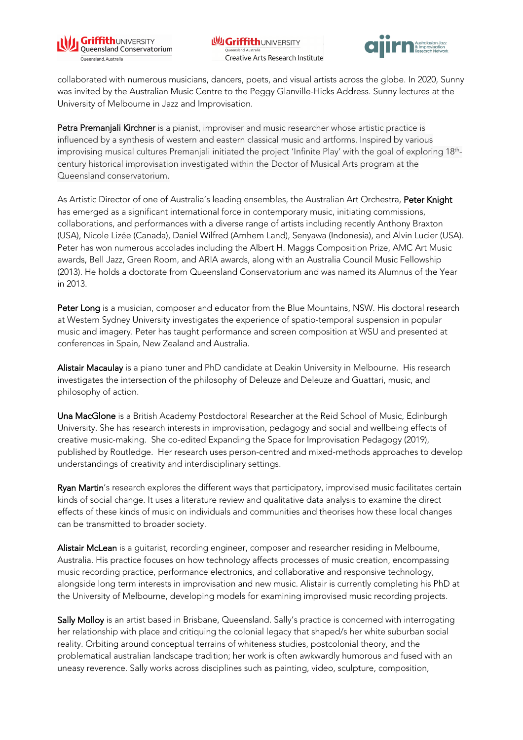



collaborated with numerous musicians, dancers, poets, and visual artists across the globe. In 2020, Sunny was invited by the Australian Music Centre to the Peggy Glanville-Hicks Address. Sunny lectures at the University of Melbourne in Jazz and Improvisation.

Petra Premanjali Kirchner is a pianist, improviser and music researcher whose artistic practice is influenced by a synthesis of western and eastern classical music and artforms. Inspired by various improvising musical cultures Premanjali initiated the project 'Infinite Play' with the goal of exploring 18<sup>th</sup>century historical improvisation investigated within the Doctor of Musical Arts program at the Queensland conservatorium.

As Artistic Director of one of Australia's leading ensembles, the Australian Art Orchestra, Peter Knight has emerged as a significant international force in contemporary music, initiating commissions, collaborations, and performances with a diverse range of artists including recently Anthony Braxton (USA), Nicole Lizée (Canada), Daniel Wilfred (Arnhem Land), Senyawa (Indonesia), and Alvin Lucier (USA). Peter has won numerous accolades including the Albert H. Maggs Composition Prize, AMC Art Music awards, Bell Jazz, Green Room, and ARIA awards, along with an Australia Council Music Fellowship (2013). He holds a doctorate from Queensland Conservatorium and was named its Alumnus of the Year in 2013.

Peter Long is a musician, composer and educator from the Blue Mountains, NSW. His doctoral research at Western Sydney University investigates the experience of spatio-temporal suspension in popular music and imagery. Peter has taught performance and screen composition at WSU and presented at conferences in Spain, New Zealand and Australia.

Alistair Macaulay is a piano tuner and PhD candidate at Deakin University in Melbourne. His research investigates the intersection of the philosophy of Deleuze and Deleuze and Guattari, music, and philosophy of action.

Una MacGlone is a British Academy Postdoctoral Researcher at the Reid School of Music, Edinburgh University. She has research interests in improvisation, pedagogy and social and wellbeing effects of creative music-making. She co-edited Expanding the Space for Improvisation Pedagogy (2019), published by Routledge. Her research uses person-centred and mixed-methods approaches to develop understandings of creativity and interdisciplinary settings.

Ryan Martin's research explores the different ways that participatory, improvised music facilitates certain kinds of social change. It uses a literature review and qualitative data analysis to examine the direct effects of these kinds of music on individuals and communities and theorises how these local changes can be transmitted to broader society.

Alistair McLean is a guitarist, recording engineer, composer and researcher residing in Melbourne, Australia. His practice focuses on how technology affects processes of music creation, encompassing music recording practice, performance electronics, and collaborative and responsive technology, alongside long term interests in improvisation and new music. Alistair is currently completing his PhD at the University of Melbourne, developing models for examining improvised music recording projects.

Sally Molloy is an artist based in Brisbane, Queensland. Sally's practice is concerned with interrogating her relationship with place and critiquing the colonial legacy that shaped/s her white suburban social reality. Orbiting around conceptual terrains of whiteness studies, postcolonial theory, and the problematical australian landscape tradition; her work is often awkwardly humorous and fused with an uneasy reverence. Sally works across disciplines such as painting, video, sculpture, composition,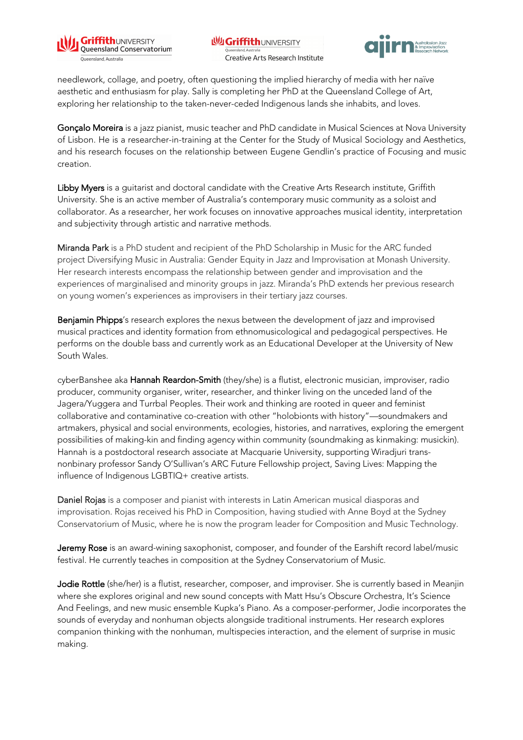



needlework, collage, and poetry, often questioning the implied hierarchy of media with her naïve aesthetic and enthusiasm for play. Sally is completing her PhD at the Queensland College of Art, exploring her relationship to the taken-never-ceded Indigenous lands she inhabits, and loves.

Gonçalo Moreira is a jazz pianist, music teacher and PhD candidate in Musical Sciences at Nova University of Lisbon. He is a researcher-in-training at the Center for the Study of Musical Sociology and Aesthetics, and his research focuses on the relationship between Eugene Gendlin's practice of Focusing and music creation.

Libby Myers is a guitarist and doctoral candidate with the Creative Arts Research institute, Griffith University. She is an active member of Australia's contemporary music community as a soloist and collaborator. As a researcher, her work focuses on innovative approaches musical identity, interpretation and subjectivity through artistic and narrative methods.

Miranda Park is a PhD student and recipient of the PhD Scholarship in Music for the ARC funded project Diversifying Music in Australia: Gender Equity in Jazz and Improvisation at Monash University. Her research interests encompass the relationship between gender and improvisation and the experiences of marginalised and minority groups in jazz. Miranda's PhD extends her previous research on young women's experiences as improvisers in their tertiary jazz courses.

Benjamin Phipps's research explores the nexus between the development of jazz and improvised musical practices and identity formation from ethnomusicological and pedagogical perspectives. He performs on the double bass and currently work as an Educational Developer at the University of New South Wales.

cyberBanshee aka Hannah Reardon-Smith (they/she) is a flutist, electronic musician, improviser, radio producer, community organiser, writer, researcher, and thinker living on the unceded land of the Jagera/Yuggera and Turrbal Peoples. Their work and thinking are rooted in queer and feminist collaborative and contaminative co-creation with other "holobionts with history"—soundmakers and artmakers, physical and social environments, ecologies, histories, and narratives, exploring the emergent possibilities of making-kin and finding agency within community (soundmaking as kinmaking: musickin). Hannah is a postdoctoral research associate at Macquarie University, supporting Wiradjuri transnonbinary professor Sandy O'Sullivan's ARC Future Fellowship project, Saving Lives: Mapping the influence of Indigenous LGBTIQ+ creative artists.

Daniel Rojas is a composer and pianist with interests in Latin American musical diasporas and improvisation. Rojas received his PhD in Composition, having studied with Anne Boyd at the Sydney Conservatorium of Music, where he is now the program leader for Composition and Music Technology.

Jeremy Rose is an award-wining saxophonist, composer, and founder of the Earshift record label/music festival. He currently teaches in composition at the Sydney Conservatorium of Music.

Jodie Rottle (she/her) is a flutist, researcher, composer, and improviser. She is currently based in Meanjin where she explores original and new sound concepts with Matt Hsu's Obscure Orchestra, It's Science And Feelings, and new music ensemble Kupka's Piano. As a composer-performer, Jodie incorporates the sounds of everyday and nonhuman objects alongside traditional instruments. Her research explores companion thinking with the nonhuman, multispecies interaction, and the element of surprise in music making.